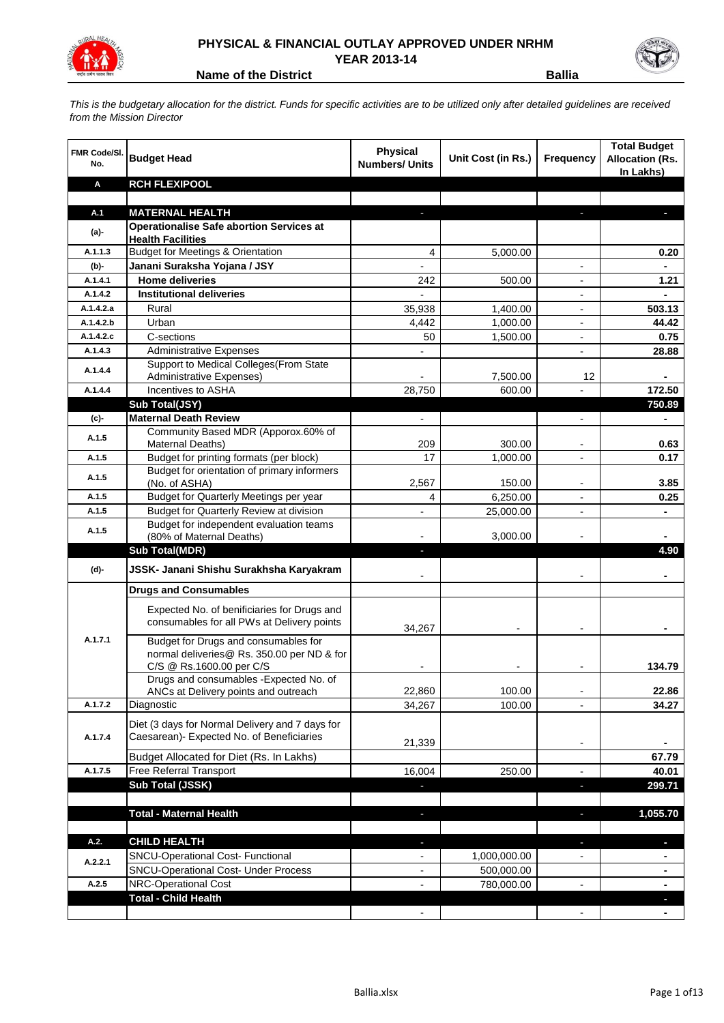

## **PHYSICAL & FINANCIAL OUTLAY APPROVED UNDER NRHM YEAR 2013-14**

**Name of the District <b>Ballia** 

*This is the budgetary allocation for the district. Funds for specific activities are to be utilized only after detailed guidelines are received from the Mission Director*

| FMR Code/SI.<br>No. | <b>Budget Head</b>                                                          | Physical<br><b>Numbers/ Units</b> | Unit Cost (in Rs.) | <b>Frequency</b>         | <b>Total Budget</b><br><b>Allocation (Rs.</b><br>In Lakhs) |
|---------------------|-----------------------------------------------------------------------------|-----------------------------------|--------------------|--------------------------|------------------------------------------------------------|
| Α                   | <b>RCH FLEXIPOOL</b>                                                        |                                   |                    |                          |                                                            |
|                     |                                                                             |                                   |                    |                          |                                                            |
| A.1                 | <b>MATERNAL HEALTH</b>                                                      |                                   |                    |                          |                                                            |
| (a)-                | <b>Operationalise Safe abortion Services at</b><br><b>Health Facilities</b> |                                   |                    |                          |                                                            |
| A.1.1.3             | <b>Budget for Meetings &amp; Orientation</b>                                | 4                                 | 5,000.00           |                          | 0.20                                                       |
| (b)-                | Janani Suraksha Yojana / JSY                                                |                                   |                    |                          |                                                            |
| A.1.4.1             | <b>Home deliveries</b>                                                      | 242                               | 500.00             |                          | 1.21                                                       |
| A.1.4.2             | <b>Institutional deliveries</b>                                             |                                   |                    | $\overline{a}$           |                                                            |
| A.1.4.2.a           | Rural                                                                       | 35,938                            | 1,400.00           | $\overline{a}$           | 503.13                                                     |
| A.1.4.2.b           | Urban                                                                       | 4,442                             | 1,000.00           | $\overline{\phantom{a}}$ | 44.42                                                      |
| A.1.4.2.c           | C-sections                                                                  | 50                                | 1,500.00           | $\overline{\phantom{a}}$ | 0.75                                                       |
| A.1.4.3             | <b>Administrative Expenses</b>                                              |                                   |                    |                          | 28.88                                                      |
| A.1.4.4             | Support to Medical Colleges (From State                                     |                                   |                    |                          |                                                            |
|                     | Administrative Expenses)                                                    |                                   | 7,500.00           | 12                       |                                                            |
| A.1.4.4             | Incentives to ASHA                                                          | 28,750                            | 600.00             |                          | 172.50                                                     |
|                     | Sub Total(JSY)<br><b>Maternal Death Review</b>                              |                                   |                    |                          | 750.89                                                     |
| (c)-                | Community Based MDR (Apporox.60% of                                         |                                   |                    |                          |                                                            |
| A.1.5               | Maternal Deaths)                                                            | 209                               | 300.00             | $\blacksquare$           | 0.63                                                       |
| A.1.5               | Budget for printing formats (per block)                                     | 17                                | 1.000.00           | $\overline{\phantom{a}}$ | 0.17                                                       |
|                     | Budget for orientation of primary informers                                 |                                   |                    |                          |                                                            |
| A.1.5               | (No. of ASHA)                                                               | 2,567                             | 150.00             | $\overline{\phantom{a}}$ | 3.85                                                       |
| A.1.5               | <b>Budget for Quarterly Meetings per year</b>                               | 4                                 | 6,250.00           | $\blacksquare$           | 0.25                                                       |
| A.1.5               | Budget for Quarterly Review at division                                     |                                   | 25,000.00          |                          |                                                            |
| A.1.5               | Budget for independent evaluation teams                                     |                                   |                    |                          |                                                            |
|                     | (80% of Maternal Deaths)<br><b>Sub Total(MDR)</b>                           |                                   | 3,000.00           |                          | 4.90                                                       |
|                     |                                                                             |                                   |                    |                          |                                                            |
| (d)-                | JSSK- Janani Shishu Surakhsha Karyakram                                     |                                   |                    |                          |                                                            |
|                     | <b>Drugs and Consumables</b>                                                |                                   |                    |                          |                                                            |
|                     | Expected No. of benificiaries for Drugs and                                 |                                   |                    |                          |                                                            |
|                     | consumables for all PWs at Delivery points                                  |                                   |                    |                          |                                                            |
| A.1.7.1             | Budget for Drugs and consumables for                                        | 34,267                            |                    |                          |                                                            |
|                     | normal deliveries@ Rs. 350.00 per ND & for                                  |                                   |                    |                          |                                                            |
|                     | C/S @ Rs.1600.00 per C/S                                                    |                                   |                    |                          | 134.79                                                     |
|                     | Drugs and consumables - Expected No. of                                     |                                   |                    |                          |                                                            |
|                     | ANCs at Delivery points and outreach                                        | 22,860                            | 100.00             | $\overline{\phantom{a}}$ | 22.86                                                      |
| A.1.7.2             | Diagnostic                                                                  | 34,267                            | 100.00             | $\overline{\phantom{a}}$ | 34.27                                                      |
|                     | Diet (3 days for Normal Delivery and 7 days for                             |                                   |                    |                          |                                                            |
| A.1.7.4             | Caesarean)- Expected No. of Beneficiaries                                   | 21,339                            |                    |                          |                                                            |
|                     | Budget Allocated for Diet (Rs. In Lakhs)                                    |                                   |                    |                          | 67.79                                                      |
| A.1.7.5             | Free Referral Transport                                                     | 16,004                            | 250.00             | $\blacksquare$           | 40.01                                                      |
|                     | Sub Total (JSSK)                                                            | ٠                                 |                    | $\blacksquare$           | 299.71                                                     |
|                     |                                                                             |                                   |                    |                          |                                                            |
|                     | <b>Total - Maternal Health</b>                                              | ٠                                 |                    | J,                       | 1,055.70                                                   |
|                     |                                                                             |                                   |                    |                          |                                                            |
| A.2.                | <b>CHILD HEALTH</b>                                                         | L.                                |                    | L                        | ٠                                                          |
| A.2.2.1             | SNCU-Operational Cost- Functional                                           |                                   | 1,000,000.00       |                          |                                                            |
|                     | <b>SNCU-Operational Cost- Under Process</b>                                 |                                   | 500,000.00         |                          | ۰                                                          |
| A.2.5               | NRC-Operational Cost                                                        |                                   | 780,000.00         | $\overline{\phantom{a}}$ | ۰                                                          |
|                     | <b>Total - Child Health</b>                                                 |                                   |                    |                          |                                                            |
|                     |                                                                             |                                   |                    |                          |                                                            |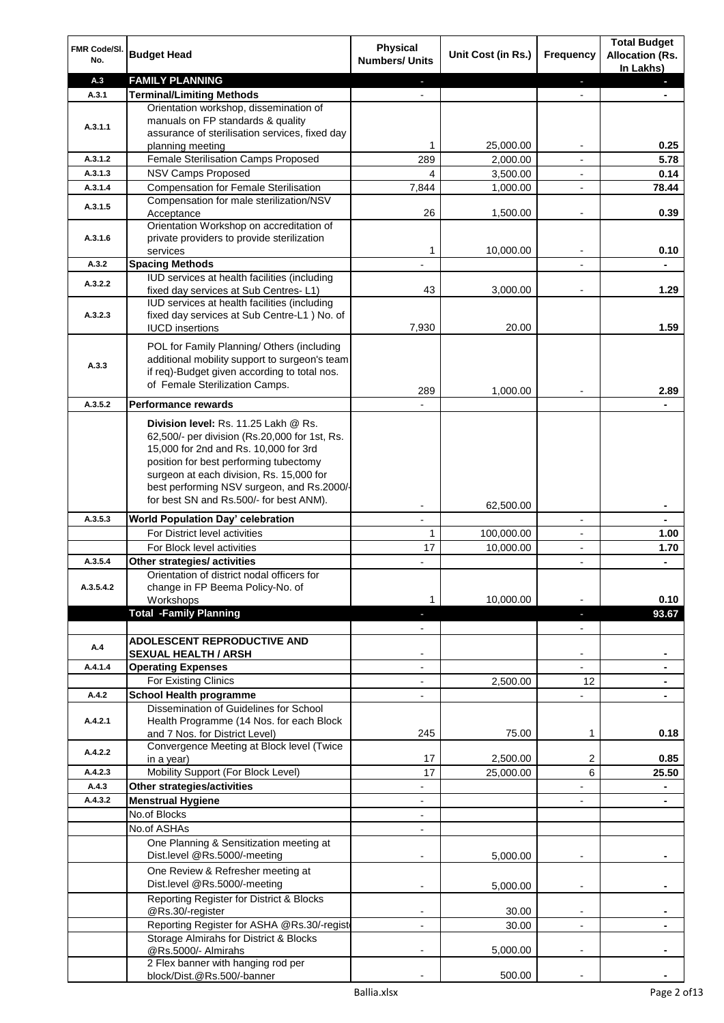| FMR Code/SI.<br>No. | <b>Budget Head</b>                                                                 | <b>Physical</b><br><b>Numbers/ Units</b> | Unit Cost (in Rs.) | Frequency                | <b>Total Budget</b><br><b>Allocation (Rs.</b> |
|---------------------|------------------------------------------------------------------------------------|------------------------------------------|--------------------|--------------------------|-----------------------------------------------|
| A.3                 | <b>FAMILY PLANNING</b>                                                             |                                          |                    |                          | In Lakhs)                                     |
| A.3.1               | <b>Terminal/Limiting Methods</b>                                                   |                                          |                    | $\blacksquare$           |                                               |
|                     | Orientation workshop, dissemination of                                             |                                          |                    |                          |                                               |
|                     | manuals on FP standards & quality                                                  |                                          |                    |                          |                                               |
| A.3.1.1             | assurance of sterilisation services, fixed day                                     |                                          |                    |                          |                                               |
|                     | planning meeting                                                                   | 1                                        | 25,000.00          |                          | 0.25                                          |
| A.3.1.2             | Female Sterilisation Camps Proposed                                                | 289                                      | 2,000.00           |                          | 5.78                                          |
| A.3.1.3             | NSV Camps Proposed                                                                 | 4                                        | 3,500.00           |                          | 0.14                                          |
| A.3.1.4             | <b>Compensation for Female Sterilisation</b>                                       | 7,844                                    | 1,000.00           | $\overline{\phantom{0}}$ | 78.44                                         |
| A.3.1.5             | Compensation for male sterilization/NSV                                            |                                          |                    |                          |                                               |
|                     | Acceptance                                                                         | 26                                       | 1,500.00           | $\overline{\phantom{a}}$ | 0.39                                          |
|                     | Orientation Workshop on accreditation of                                           |                                          |                    |                          |                                               |
| A.3.1.6             | private providers to provide sterilization                                         |                                          |                    |                          |                                               |
|                     | services                                                                           | 1                                        | 10,000.00          | $\overline{\phantom{0}}$ | 0.10                                          |
| A.3.2               | <b>Spacing Methods</b><br>IUD services at health facilities (including             |                                          |                    | $\overline{\phantom{0}}$ |                                               |
| A.3.2.2             | fixed day services at Sub Centres-L1)                                              | 43                                       | 3,000.00           | ۰                        | 1.29                                          |
|                     | IUD services at health facilities (including                                       |                                          |                    |                          |                                               |
| A.3.2.3             | fixed day services at Sub Centre-L1 ) No. of                                       |                                          |                    |                          |                                               |
|                     | <b>IUCD</b> insertions                                                             | 7,930                                    | 20.00              |                          | 1.59                                          |
|                     |                                                                                    |                                          |                    |                          |                                               |
|                     | POL for Family Planning/ Others (including                                         |                                          |                    |                          |                                               |
| A.3.3               | additional mobility support to surgeon's team                                      |                                          |                    |                          |                                               |
|                     | if req)-Budget given according to total nos.<br>of Female Sterilization Camps.     |                                          |                    |                          |                                               |
|                     |                                                                                    | 289                                      | 1,000.00           |                          | 2.89                                          |
| A.3.5.2             | <b>Performance rewards</b>                                                         |                                          |                    |                          |                                               |
|                     | Division level: Rs. 11.25 Lakh @ Rs.                                               |                                          |                    |                          |                                               |
|                     | 62,500/- per division (Rs.20,000 for 1st, Rs.                                      |                                          |                    |                          |                                               |
|                     | 15,000 for 2nd and Rs. 10,000 for 3rd                                              |                                          |                    |                          |                                               |
|                     | position for best performing tubectomy                                             |                                          |                    |                          |                                               |
|                     | surgeon at each division, Rs. 15,000 for                                           |                                          |                    |                          |                                               |
|                     | best performing NSV surgeon, and Rs.2000/-                                         |                                          |                    |                          |                                               |
|                     | for best SN and Rs.500/- for best ANM).                                            |                                          | 62,500.00          |                          |                                               |
| A.3.5.3             | <b>World Population Day' celebration</b>                                           | $\overline{a}$                           |                    | $\overline{a}$           |                                               |
|                     | For District level activities                                                      | 1                                        | 100,000.00         | $\overline{\phantom{a}}$ | 1.00                                          |
|                     | For Block level activities                                                         | 17                                       | 10,000.00          | $\overline{\phantom{a}}$ | 1.70                                          |
| A.3.5.4             | Other strategies/ activities                                                       |                                          |                    | $\overline{\phantom{0}}$ | $\blacksquare$                                |
|                     | Orientation of district nodal officers for                                         |                                          |                    |                          |                                               |
| A.3.5.4.2           | change in FP Beema Policy-No. of                                                   |                                          |                    |                          |                                               |
|                     | Workshops                                                                          | 1                                        | 10,000.00          |                          | 0.10                                          |
|                     | <b>Total -Family Planning</b>                                                      | ı                                        |                    | ٠                        | 93.67                                         |
|                     |                                                                                    |                                          |                    | -                        |                                               |
| A.4                 | <b>ADOLESCENT REPRODUCTIVE AND</b>                                                 |                                          |                    |                          |                                               |
|                     | <b>SEXUAL HEALTH / ARSH</b>                                                        |                                          |                    |                          |                                               |
| A.4.1.4             | <b>Operating Expenses</b>                                                          | $\overline{a}$                           |                    |                          |                                               |
|                     | For Existing Clinics                                                               |                                          | 2,500.00           | 12                       |                                               |
| A.4.2               | <b>School Health programme</b>                                                     |                                          |                    |                          |                                               |
|                     | Dissemination of Guidelines for School<br>Health Programme (14 Nos. for each Block |                                          |                    |                          |                                               |
| A.4.2.1             | and 7 Nos. for District Level)                                                     | 245                                      | 75.00              | 1                        | 0.18                                          |
|                     | Convergence Meeting at Block level (Twice                                          |                                          |                    |                          |                                               |
| A.4.2.2             | in a year)                                                                         | 17                                       | 2,500.00           | $\overline{c}$           | 0.85                                          |
| A.4.2.3             | Mobility Support (For Block Level)                                                 | 17                                       | 25,000.00          | 6                        | 25.50                                         |
| A.4.3               | Other strategies/activities                                                        |                                          |                    |                          | ٠                                             |
| A.4.3.2             | <b>Menstrual Hygiene</b>                                                           |                                          |                    | -                        | ٠                                             |
|                     | No.of Blocks                                                                       | $\overline{a}$                           |                    |                          |                                               |
|                     | No.of ASHAs                                                                        | $\overline{a}$                           |                    |                          |                                               |
|                     | One Planning & Sensitization meeting at                                            |                                          |                    |                          |                                               |
|                     | Dist.level @Rs.5000/-meeting                                                       |                                          | 5,000.00           |                          |                                               |
|                     | One Review & Refresher meeting at                                                  |                                          |                    |                          |                                               |
|                     | Dist.level @Rs.5000/-meeting                                                       |                                          | 5,000.00           | -                        |                                               |
|                     | Reporting Register for District & Blocks                                           |                                          |                    |                          |                                               |
|                     | @Rs.30/-register                                                                   |                                          | 30.00              | -                        |                                               |
|                     | Reporting Register for ASHA @Rs.30/-regist                                         |                                          | 30.00              |                          |                                               |
|                     | Storage Almirahs for District & Blocks                                             |                                          |                    |                          |                                               |
|                     | @Rs.5000/- Almirahs                                                                |                                          | 5,000.00           |                          |                                               |
|                     | 2 Flex banner with hanging rod per                                                 |                                          |                    |                          |                                               |
|                     | block/Dist.@Rs.500/-banner                                                         |                                          | 500.00             |                          |                                               |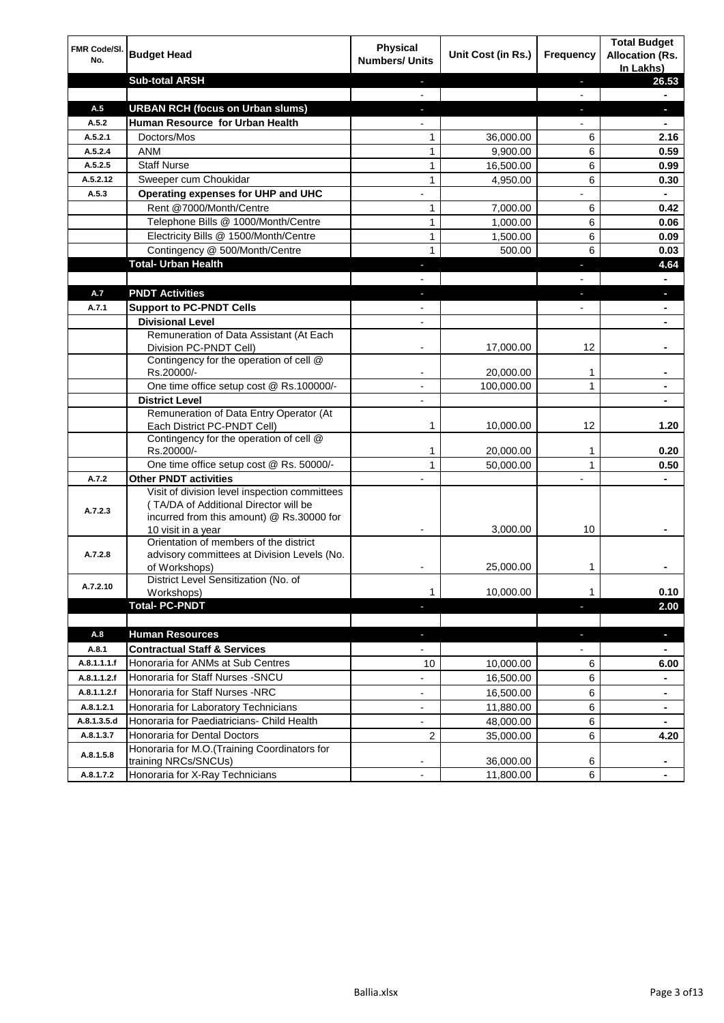| FMR Code/SI.<br>No. | <b>Budget Head</b>                                                                                                                                        | Physical<br><b>Numbers/ Units</b> | Unit Cost (in Rs.)   | <b>Frequency</b> | <b>Total Budget</b><br><b>Allocation (Rs.</b><br>In Lakhs) |
|---------------------|-----------------------------------------------------------------------------------------------------------------------------------------------------------|-----------------------------------|----------------------|------------------|------------------------------------------------------------|
|                     | <b>Sub-total ARSH</b>                                                                                                                                     | ٠                                 |                      | L.               | 26.53                                                      |
|                     |                                                                                                                                                           |                                   |                      | $\blacksquare$   | $\blacksquare$                                             |
| A.5                 | <b>URBAN RCH (focus on Urban slums)</b>                                                                                                                   | ٠                                 |                      | ٠                | ٠                                                          |
| A.5.2               | Human Resource for Urban Health                                                                                                                           |                                   |                      | $\blacksquare$   | $\blacksquare$                                             |
| A.5.2.1             | Doctors/Mos                                                                                                                                               | 1                                 | 36,000.00            | 6                | 2.16                                                       |
| A.5.2.4             | <b>ANM</b>                                                                                                                                                | 1                                 | 9,900.00             | 6                | 0.59                                                       |
| A.5.2.5             | <b>Staff Nurse</b>                                                                                                                                        | $\mathbf{1}$                      | 16,500.00            | 6                | 0.99                                                       |
| A.5.2.12<br>A.5.3   | Sweeper cum Choukidar<br>Operating expenses for UHP and UHC                                                                                               | $\mathbf{1}$                      | 4,950.00             | 6                | 0.30                                                       |
|                     | Rent @7000/Month/Centre                                                                                                                                   |                                   |                      |                  | ٠<br>0.42                                                  |
|                     | Telephone Bills @ 1000/Month/Centre                                                                                                                       | 1<br>1                            | 7,000.00<br>1,000.00 | 6<br>6           | 0.06                                                       |
|                     | Electricity Bills @ 1500/Month/Centre                                                                                                                     | $\mathbf{1}$                      | 1,500.00             | 6                | 0.09                                                       |
|                     | Contingency @ 500/Month/Centre                                                                                                                            | 1                                 | 500.00               | 6                | 0.03                                                       |
|                     | <b>Total- Urban Health</b>                                                                                                                                |                                   |                      |                  | 4.64                                                       |
|                     |                                                                                                                                                           |                                   |                      |                  |                                                            |
| A.7                 | <b>PNDT Activities</b>                                                                                                                                    |                                   |                      |                  | L.                                                         |
| A.7.1               | <b>Support to PC-PNDT Cells</b>                                                                                                                           |                                   |                      |                  |                                                            |
|                     | <b>Divisional Level</b>                                                                                                                                   |                                   |                      |                  |                                                            |
|                     | Remuneration of Data Assistant (At Each                                                                                                                   |                                   |                      |                  |                                                            |
|                     | Division PC-PNDT Cell)                                                                                                                                    |                                   | 17,000.00            | 12               |                                                            |
|                     | Contingency for the operation of cell @<br>Rs.20000/-                                                                                                     |                                   | 20,000.00            | 1                |                                                            |
|                     | One time office setup cost @ Rs.100000/-                                                                                                                  | $\overline{\phantom{a}}$          | 100,000.00           | 1                | ۰                                                          |
|                     | <b>District Level</b>                                                                                                                                     | $\blacksquare$                    |                      |                  | ۰                                                          |
|                     | Remuneration of Data Entry Operator (At<br>Each District PC-PNDT Cell)                                                                                    | 1                                 | 10,000.00            | 12               | 1.20                                                       |
|                     | Contingency for the operation of cell @<br>Rs.20000/-                                                                                                     | 1                                 | 20,000.00            | 1                | 0.20                                                       |
|                     | One time office setup cost @ Rs. 50000/-                                                                                                                  | 1                                 | 50,000.00            | 1                | 0.50                                                       |
| A.7.2               | <b>Other PNDT activities</b>                                                                                                                              |                                   |                      |                  |                                                            |
| A.7.2.3             | Visit of division level inspection committees<br>(TA/DA of Additional Director will be<br>incurred from this amount) @ Rs.30000 for<br>10 visit in a year |                                   | 3,000.00             | 10               |                                                            |
| A.7.2.8             | Orientation of members of the district<br>advisory committees at Division Levels (No.<br>of Workshops)                                                    |                                   | 25,000.00            | 1                |                                                            |
| A.7.2.10            | District Level Sensitization (No. of<br>Workshops)                                                                                                        | 1                                 | 10,000.00            | 1                | 0.10                                                       |
|                     | <b>Total-PC-PNDT</b>                                                                                                                                      | н                                 |                      | $\blacksquare$   | 2.00                                                       |
|                     |                                                                                                                                                           |                                   |                      |                  |                                                            |
| A.8                 | <b>Human Resources</b>                                                                                                                                    | ÷.                                |                      | ÷.               | ٠                                                          |
| A.8.1               | <b>Contractual Staff &amp; Services</b>                                                                                                                   | $\overline{\phantom{0}}$          |                      |                  |                                                            |
| A.8.1.1.1.f         | Honoraria for ANMs at Sub Centres                                                                                                                         | 10                                | 10,000.00            | 6                | 6.00                                                       |
| A.8.1.1.2.f         | Honoraria for Staff Nurses - SNCU                                                                                                                         |                                   | 16,500.00            | 6                | $\blacksquare$                                             |
| A.8.1.1.2.f         | Honoraria for Staff Nurses -NRC                                                                                                                           | $\overline{\phantom{0}}$          | 16,500.00            | 6                | Ξ.                                                         |
| A.8.1.2.1           | Honoraria for Laboratory Technicians                                                                                                                      | $\overline{\phantom{0}}$          | 11,880.00            | 6                | ۰                                                          |
| A.8.1.3.5.d         | Honoraria for Paediatricians- Child Health                                                                                                                | $\overline{\phantom{a}}$          | 48,000.00            | 6                | $\blacksquare$                                             |
| A.8.1.3.7           | Honoraria for Dental Doctors<br>Honoraria for M.O.(Training Coordinators for                                                                              | 2                                 | 35,000.00            | 6                | 4.20                                                       |
| A.8.1.5.8           | training NRCs/SNCUs)                                                                                                                                      |                                   | 36,000.00            | 6                | ۰                                                          |
| A.8.1.7.2           | Honoraria for X-Ray Technicians                                                                                                                           |                                   | 11,800.00            | 6                |                                                            |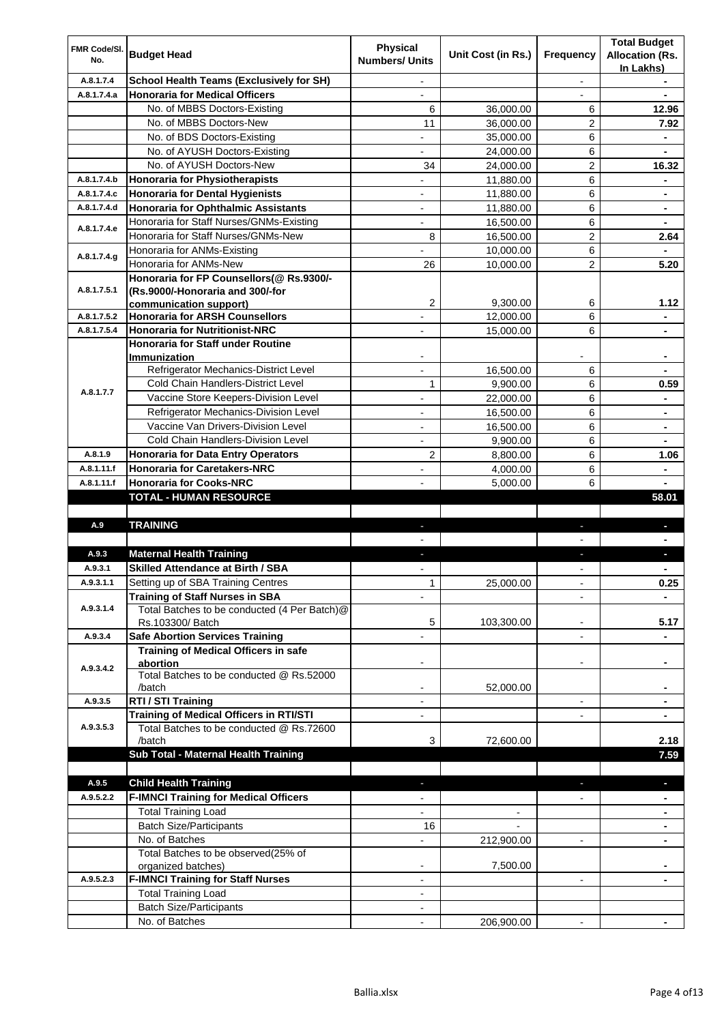| FMR Code/SI.<br>No. | <b>Budget Head</b>                                                          | <b>Physical</b><br><b>Numbers/ Units</b> | Unit Cost (in Rs.)   | Frequency                | <b>Total Budget</b><br><b>Allocation (Rs.</b> |
|---------------------|-----------------------------------------------------------------------------|------------------------------------------|----------------------|--------------------------|-----------------------------------------------|
| A.8.1.7.4           | <b>School Health Teams (Exclusively for SH)</b>                             |                                          |                      |                          | In Lakhs)                                     |
| A.8.1.7.4.a         | <b>Honoraria for Medical Officers</b>                                       | $\overline{\phantom{a}}$                 |                      | $\blacksquare$           | ٠                                             |
|                     | No. of MBBS Doctors-Existing                                                | 6                                        | 36,000.00            | 6                        | 12.96                                         |
|                     | No. of MBBS Doctors-New                                                     | 11                                       | 36,000.00            | $\overline{2}$           | 7.92                                          |
|                     | No. of BDS Doctors-Existing                                                 |                                          | 35,000.00            | 6                        | ٠                                             |
|                     | No. of AYUSH Doctors-Existing                                               |                                          | 24,000.00            | 6                        |                                               |
|                     | No. of AYUSH Doctors-New                                                    | 34                                       | 24,000.00            | $\overline{2}$           | 16.32                                         |
| A.8.1.7.4.b         | <b>Honoraria for Physiotherapists</b>                                       |                                          | 11,880.00            | 6                        |                                               |
| A.8.1.7.4.c         | <b>Honoraria for Dental Hygienists</b>                                      | $\overline{a}$                           | 11,880.00            | 6                        | ٠                                             |
| A.8.1.7.4.d         | Honoraria for Ophthalmic Assistants                                         |                                          | 11,880.00            | 6                        | ۰                                             |
|                     | Honoraria for Staff Nurses/GNMs-Existing                                    |                                          | 16,500.00            | 6                        |                                               |
| A.8.1.7.4.e         | Honoraria for Staff Nurses/GNMs-New                                         | 8                                        | 16,500.00            | $\overline{2}$           | 2.64                                          |
|                     | Honoraria for ANMs-Existing                                                 |                                          | 10,000.00            | 6                        |                                               |
| A.8.1.7.4.g         | Honoraria for ANMs-New                                                      | 26                                       | 10,000.00            | $\overline{2}$           | 5.20                                          |
|                     | Honoraria for FP Counsellors(@ Rs.9300/-                                    |                                          |                      |                          |                                               |
| A.8.1.7.5.1         | (Rs.9000/-Honoraria and 300/-for                                            |                                          |                      |                          |                                               |
|                     | communication support)                                                      | 2                                        | 9.300.00             | 6                        | 1.12                                          |
| A.8.1.7.5.2         | <b>Honoraria for ARSH Counsellors</b>                                       |                                          | 12,000.00            | 6                        |                                               |
| A.8.1.7.5.4         | <b>Honoraria for Nutritionist-NRC</b>                                       |                                          | 15,000.00            | 6                        |                                               |
|                     | Honoraria for Staff under Routine                                           |                                          |                      |                          |                                               |
|                     | <b>Immunization</b>                                                         |                                          |                      |                          | ٠                                             |
|                     | Refrigerator Mechanics-District Level                                       |                                          | 16,500.00            | 6                        |                                               |
| A.8.1.7.7           | Cold Chain Handlers-District Level<br>Vaccine Store Keepers-Division Level  | 1                                        | 9,900.00             | 6                        | 0.59                                          |
|                     |                                                                             |                                          | 22,000.00            | 6                        |                                               |
|                     | Refrigerator Mechanics-Division Level<br>Vaccine Van Drivers-Division Level |                                          | 16,500.00            | 6                        | ۰                                             |
|                     | Cold Chain Handlers-Division Level                                          |                                          | 16,500.00            | 6                        | ۰                                             |
| A.8.1.9             | <b>Honoraria for Data Entry Operators</b>                                   | 2                                        | 9,900.00             | 6<br>6                   |                                               |
| A.8.1.11.f          | <b>Honoraria for Caretakers-NRC</b>                                         |                                          | 8,800.00             |                          | 1.06<br>$\blacksquare$                        |
| A.8.1.11.f          | <b>Honoraria for Cooks-NRC</b>                                              |                                          | 4,000.00<br>5,000.00 | 6<br>6                   |                                               |
|                     | <b>TOTAL - HUMAN RESOURCE</b>                                               |                                          |                      |                          | 58.01                                         |
|                     |                                                                             |                                          |                      |                          |                                               |
| A.9                 | <b>TRAINING</b>                                                             | $\overline{\phantom{a}}$                 |                      | $\blacksquare$           | J,                                            |
|                     |                                                                             |                                          |                      |                          |                                               |
| A.9.3               | <b>Maternal Health Training</b>                                             | ٠                                        |                      | ٠                        | J,                                            |
| A.9.3.1             | <b>Skilled Attendance at Birth / SBA</b>                                    |                                          |                      |                          | ۰                                             |
| A.9.3.1.1           | Setting up of SBA Training Centres                                          | 1                                        | 25,000.00            | $\overline{\phantom{a}}$ | 0.25                                          |
|                     | <b>Training of Staff Nurses in SBA</b>                                      | $\overline{a}$                           |                      |                          |                                               |
| A.9.3.1.4           | Total Batches to be conducted (4 Per Batch)@                                |                                          |                      |                          |                                               |
|                     | Rs.103300/ Batch                                                            | 5                                        | 103,300.00           |                          | 5.17                                          |
| A.9.3.4             | <b>Safe Abortion Services Training</b>                                      |                                          |                      | $\blacksquare$           |                                               |
|                     | <b>Training of Medical Officers in safe</b>                                 |                                          |                      |                          |                                               |
| A.9.3.4.2           | abortion                                                                    |                                          |                      | $\overline{a}$           | ۰                                             |
|                     | Total Batches to be conducted @ Rs.52000<br>/batch                          |                                          | 52,000.00            |                          | ۰                                             |
| A.9.3.5             | RTI / STI Training                                                          | $\blacksquare$                           |                      | $\blacksquare$           | ٠                                             |
|                     | <b>Training of Medical Officers in RTI/STI</b>                              | $\blacksquare$                           |                      | $\overline{a}$           | ٠                                             |
| A.9.3.5.3           | Total Batches to be conducted @ Rs.72600                                    |                                          |                      |                          |                                               |
|                     | /batch                                                                      | 3                                        | 72,600.00            |                          | 2.18                                          |
|                     | Sub Total - Maternal Health Training                                        |                                          |                      |                          | 7.59                                          |
|                     |                                                                             |                                          |                      |                          |                                               |
| A.9.5               | <b>Child Health Training</b>                                                |                                          |                      |                          | ×,                                            |
| A.9.5.2.2           | <b>F-IMNCI Training for Medical Officers</b>                                |                                          |                      |                          |                                               |
|                     | <b>Total Training Load</b>                                                  |                                          |                      |                          |                                               |
|                     | <b>Batch Size/Participants</b>                                              | 16                                       |                      |                          |                                               |
|                     | No. of Batches                                                              |                                          | 212,900.00           | $\blacksquare$           |                                               |
|                     | Total Batches to be observed(25% of                                         |                                          |                      |                          |                                               |
|                     | organized batches)                                                          |                                          | 7,500.00             |                          |                                               |
| A.9.5.2.3           | <b>F-IMNCI Training for Staff Nurses</b>                                    |                                          |                      | $\overline{\phantom{a}}$ |                                               |
|                     | <b>Total Training Load</b>                                                  | $\blacksquare$                           |                      |                          |                                               |
|                     | <b>Batch Size/Participants</b>                                              |                                          |                      |                          |                                               |
|                     | No. of Batches                                                              |                                          | 206,900.00           |                          |                                               |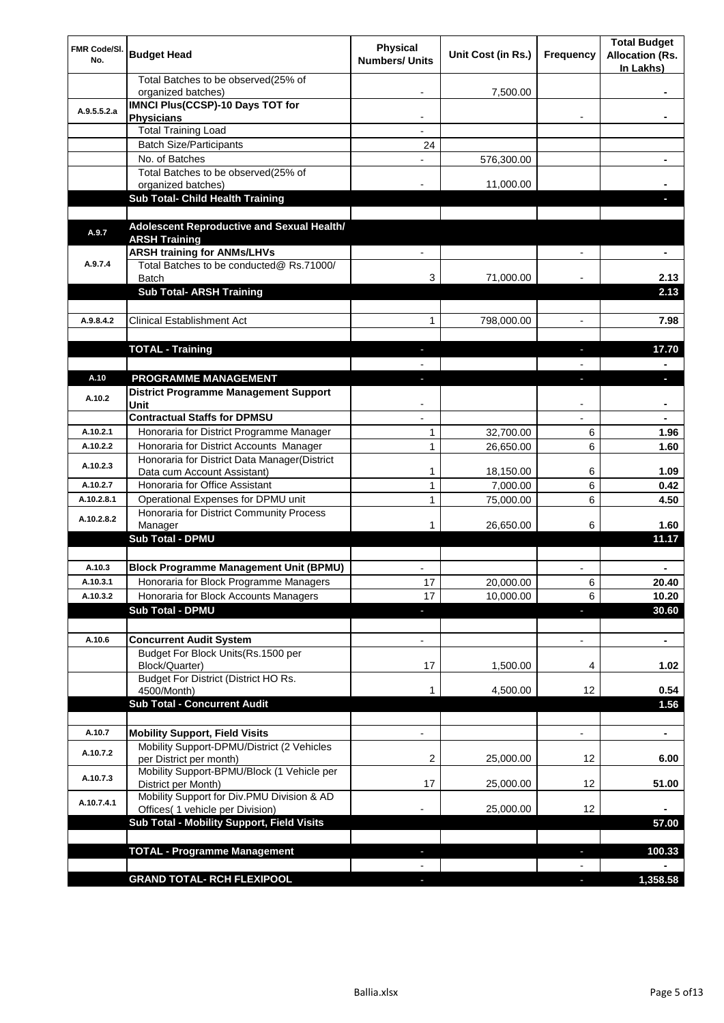| Total Batches to be observed(25% of<br>organized batches)<br>7,500.00<br><b>IMNCI Plus(CCSP)-10 Days TOT for</b><br>A.9.5.5.2.a<br><b>Physicians</b><br>$\overline{\phantom{a}}$<br>۰<br><b>Total Training Load</b><br><b>Batch Size/Participants</b><br>24<br>No. of Batches<br>576,300.00<br>Total Batches to be observed(25% of<br>11,000.00<br>organized batches)<br><b>Sub Total- Child Health Training</b><br>Adolescent Reproductive and Sexual Health/<br>A.9.7<br><b>ARSH Training</b><br><b>ARSH training for ANMs/LHVs</b><br>Total Batches to be conducted@ Rs.71000/<br>A.9.7.4<br><b>Batch</b><br>71,000.00<br>2.13<br>3<br><b>Sub Total- ARSH Training</b><br>2.13<br><b>Clinical Establishment Act</b><br>A.9.8.4.2<br>1<br>798,000.00<br>7.98<br>$\overline{\phantom{a}}$<br><b>TOTAL - Training</b><br>17.70<br>٠<br>PROGRAMME MANAGEMENT<br>A.10<br>L.<br>г<br><b>District Programme Management Support</b><br>A.10.2<br>Unit<br><b>Contractual Staffs for DPMSU</b><br>Honoraria for District Programme Manager<br>1<br>32,700.00<br>A.10.2.1<br>6<br>1.96<br>Honoraria for District Accounts Manager<br>1<br>26,650.00<br>A.10.2.2<br>6<br>1.60<br>Honoraria for District Data Manager(District<br>A.10.2.3<br>Data cum Account Assistant)<br>1<br>18,150.00<br>6<br>1.09<br>$\mathbf{1}$<br>6<br>Honoraria for Office Assistant<br>7,000.00<br>A.10.2.7<br>0.42<br>Operational Expenses for DPMU unit<br>1<br>6<br>A.10.2.8.1<br>75,000.00<br>4.50<br>Honoraria for District Community Process<br>A.10.2.8.2<br>26,650.00<br>6<br>1.60<br>Manager<br>1<br><b>Sub Total - DPMU</b><br>11.17<br><b>Block Programme Management Unit (BPMU)</b><br>A.10.3<br>A.10.3.1<br>Honoraria for Block Programme Managers<br>17<br>20,000.00<br>6<br>20.40<br>6<br>A.10.3.2<br>Honoraria for Block Accounts Managers<br>17<br>10,000.00<br>10.20<br><b>Sub Total - DPMU</b><br>30.60<br>L.<br>T<br>A.10.6<br><b>Concurrent Audit System</b><br>$\overline{\phantom{a}}$<br>$\overline{\phantom{a}}$<br>$\blacksquare$<br>Budget For Block Units(Rs.1500 per<br>Block/Quarter)<br>1,500.00<br>17<br>4<br>1.02<br>Budget For District (District HO Rs.<br>12<br>0.54<br>4500/Month)<br>1<br>4,500.00<br><b>Sub Total - Concurrent Audit</b><br>1.56<br><b>Mobility Support, Field Visits</b><br>A.10.7<br>÷,<br>۰<br>Mobility Support-DPMU/District (2 Vehicles<br>A.10.7.2<br>per District per month)<br>2<br>25,000.00<br>12<br>6.00<br>Mobility Support-BPMU/Block (1 Vehicle per<br>A.10.7.3<br>17<br>12<br>District per Month)<br>25,000.00<br>51.00<br>Mobility Support for Div.PMU Division & AD<br>A.10.7.4.1<br>12<br>Offices( 1 vehicle per Division)<br>25,000.00<br>Sub Total - Mobility Support, Field Visits<br>57.00<br><b>TOTAL - Programme Management</b><br>100.33<br>н<br><b>GRAND TOTAL- RCH FLEXIPOOL</b><br>1,358.58 | <b>FMR Code/SI.</b><br>No. | <b>Budget Head</b> | <b>Physical</b><br><b>Numbers/ Units</b> | Unit Cost (in Rs.) | Frequency | <b>Total Budget</b><br><b>Allocation (Rs.</b><br>In Lakhs) |
|--------------------------------------------------------------------------------------------------------------------------------------------------------------------------------------------------------------------------------------------------------------------------------------------------------------------------------------------------------------------------------------------------------------------------------------------------------------------------------------------------------------------------------------------------------------------------------------------------------------------------------------------------------------------------------------------------------------------------------------------------------------------------------------------------------------------------------------------------------------------------------------------------------------------------------------------------------------------------------------------------------------------------------------------------------------------------------------------------------------------------------------------------------------------------------------------------------------------------------------------------------------------------------------------------------------------------------------------------------------------------------------------------------------------------------------------------------------------------------------------------------------------------------------------------------------------------------------------------------------------------------------------------------------------------------------------------------------------------------------------------------------------------------------------------------------------------------------------------------------------------------------------------------------------------------------------------------------------------------------------------------------------------------------------------------------------------------------------------------------------------------------------------------------------------------------------------------------------------------------------------------------------------------------------------------------------------------------------------------------------------------------------------------------------------------------------------------------------------------------------------------------------------------------------------------------------------------------------------------------------------------------------------------------------------------------------------------------------------------------------------------------------------------------------------------------------------------------------------|----------------------------|--------------------|------------------------------------------|--------------------|-----------|------------------------------------------------------------|
|                                                                                                                                                                                                                                                                                                                                                                                                                                                                                                                                                                                                                                                                                                                                                                                                                                                                                                                                                                                                                                                                                                                                                                                                                                                                                                                                                                                                                                                                                                                                                                                                                                                                                                                                                                                                                                                                                                                                                                                                                                                                                                                                                                                                                                                                                                                                                                                                                                                                                                                                                                                                                                                                                                                                                                                                                                                  |                            |                    |                                          |                    |           |                                                            |
|                                                                                                                                                                                                                                                                                                                                                                                                                                                                                                                                                                                                                                                                                                                                                                                                                                                                                                                                                                                                                                                                                                                                                                                                                                                                                                                                                                                                                                                                                                                                                                                                                                                                                                                                                                                                                                                                                                                                                                                                                                                                                                                                                                                                                                                                                                                                                                                                                                                                                                                                                                                                                                                                                                                                                                                                                                                  |                            |                    |                                          |                    |           |                                                            |
|                                                                                                                                                                                                                                                                                                                                                                                                                                                                                                                                                                                                                                                                                                                                                                                                                                                                                                                                                                                                                                                                                                                                                                                                                                                                                                                                                                                                                                                                                                                                                                                                                                                                                                                                                                                                                                                                                                                                                                                                                                                                                                                                                                                                                                                                                                                                                                                                                                                                                                                                                                                                                                                                                                                                                                                                                                                  |                            |                    |                                          |                    |           |                                                            |
|                                                                                                                                                                                                                                                                                                                                                                                                                                                                                                                                                                                                                                                                                                                                                                                                                                                                                                                                                                                                                                                                                                                                                                                                                                                                                                                                                                                                                                                                                                                                                                                                                                                                                                                                                                                                                                                                                                                                                                                                                                                                                                                                                                                                                                                                                                                                                                                                                                                                                                                                                                                                                                                                                                                                                                                                                                                  |                            |                    |                                          |                    |           |                                                            |
|                                                                                                                                                                                                                                                                                                                                                                                                                                                                                                                                                                                                                                                                                                                                                                                                                                                                                                                                                                                                                                                                                                                                                                                                                                                                                                                                                                                                                                                                                                                                                                                                                                                                                                                                                                                                                                                                                                                                                                                                                                                                                                                                                                                                                                                                                                                                                                                                                                                                                                                                                                                                                                                                                                                                                                                                                                                  |                            |                    |                                          |                    |           |                                                            |
|                                                                                                                                                                                                                                                                                                                                                                                                                                                                                                                                                                                                                                                                                                                                                                                                                                                                                                                                                                                                                                                                                                                                                                                                                                                                                                                                                                                                                                                                                                                                                                                                                                                                                                                                                                                                                                                                                                                                                                                                                                                                                                                                                                                                                                                                                                                                                                                                                                                                                                                                                                                                                                                                                                                                                                                                                                                  |                            |                    |                                          |                    |           |                                                            |
|                                                                                                                                                                                                                                                                                                                                                                                                                                                                                                                                                                                                                                                                                                                                                                                                                                                                                                                                                                                                                                                                                                                                                                                                                                                                                                                                                                                                                                                                                                                                                                                                                                                                                                                                                                                                                                                                                                                                                                                                                                                                                                                                                                                                                                                                                                                                                                                                                                                                                                                                                                                                                                                                                                                                                                                                                                                  |                            |                    |                                          |                    |           |                                                            |
|                                                                                                                                                                                                                                                                                                                                                                                                                                                                                                                                                                                                                                                                                                                                                                                                                                                                                                                                                                                                                                                                                                                                                                                                                                                                                                                                                                                                                                                                                                                                                                                                                                                                                                                                                                                                                                                                                                                                                                                                                                                                                                                                                                                                                                                                                                                                                                                                                                                                                                                                                                                                                                                                                                                                                                                                                                                  |                            |                    |                                          |                    |           |                                                            |
|                                                                                                                                                                                                                                                                                                                                                                                                                                                                                                                                                                                                                                                                                                                                                                                                                                                                                                                                                                                                                                                                                                                                                                                                                                                                                                                                                                                                                                                                                                                                                                                                                                                                                                                                                                                                                                                                                                                                                                                                                                                                                                                                                                                                                                                                                                                                                                                                                                                                                                                                                                                                                                                                                                                                                                                                                                                  |                            |                    |                                          |                    |           |                                                            |
|                                                                                                                                                                                                                                                                                                                                                                                                                                                                                                                                                                                                                                                                                                                                                                                                                                                                                                                                                                                                                                                                                                                                                                                                                                                                                                                                                                                                                                                                                                                                                                                                                                                                                                                                                                                                                                                                                                                                                                                                                                                                                                                                                                                                                                                                                                                                                                                                                                                                                                                                                                                                                                                                                                                                                                                                                                                  |                            |                    |                                          |                    |           |                                                            |
|                                                                                                                                                                                                                                                                                                                                                                                                                                                                                                                                                                                                                                                                                                                                                                                                                                                                                                                                                                                                                                                                                                                                                                                                                                                                                                                                                                                                                                                                                                                                                                                                                                                                                                                                                                                                                                                                                                                                                                                                                                                                                                                                                                                                                                                                                                                                                                                                                                                                                                                                                                                                                                                                                                                                                                                                                                                  |                            |                    |                                          |                    |           |                                                            |
|                                                                                                                                                                                                                                                                                                                                                                                                                                                                                                                                                                                                                                                                                                                                                                                                                                                                                                                                                                                                                                                                                                                                                                                                                                                                                                                                                                                                                                                                                                                                                                                                                                                                                                                                                                                                                                                                                                                                                                                                                                                                                                                                                                                                                                                                                                                                                                                                                                                                                                                                                                                                                                                                                                                                                                                                                                                  |                            |                    |                                          |                    |           |                                                            |
|                                                                                                                                                                                                                                                                                                                                                                                                                                                                                                                                                                                                                                                                                                                                                                                                                                                                                                                                                                                                                                                                                                                                                                                                                                                                                                                                                                                                                                                                                                                                                                                                                                                                                                                                                                                                                                                                                                                                                                                                                                                                                                                                                                                                                                                                                                                                                                                                                                                                                                                                                                                                                                                                                                                                                                                                                                                  |                            |                    |                                          |                    |           |                                                            |
|                                                                                                                                                                                                                                                                                                                                                                                                                                                                                                                                                                                                                                                                                                                                                                                                                                                                                                                                                                                                                                                                                                                                                                                                                                                                                                                                                                                                                                                                                                                                                                                                                                                                                                                                                                                                                                                                                                                                                                                                                                                                                                                                                                                                                                                                                                                                                                                                                                                                                                                                                                                                                                                                                                                                                                                                                                                  |                            |                    |                                          |                    |           |                                                            |
|                                                                                                                                                                                                                                                                                                                                                                                                                                                                                                                                                                                                                                                                                                                                                                                                                                                                                                                                                                                                                                                                                                                                                                                                                                                                                                                                                                                                                                                                                                                                                                                                                                                                                                                                                                                                                                                                                                                                                                                                                                                                                                                                                                                                                                                                                                                                                                                                                                                                                                                                                                                                                                                                                                                                                                                                                                                  |                            |                    |                                          |                    |           |                                                            |
|                                                                                                                                                                                                                                                                                                                                                                                                                                                                                                                                                                                                                                                                                                                                                                                                                                                                                                                                                                                                                                                                                                                                                                                                                                                                                                                                                                                                                                                                                                                                                                                                                                                                                                                                                                                                                                                                                                                                                                                                                                                                                                                                                                                                                                                                                                                                                                                                                                                                                                                                                                                                                                                                                                                                                                                                                                                  |                            |                    |                                          |                    |           |                                                            |
|                                                                                                                                                                                                                                                                                                                                                                                                                                                                                                                                                                                                                                                                                                                                                                                                                                                                                                                                                                                                                                                                                                                                                                                                                                                                                                                                                                                                                                                                                                                                                                                                                                                                                                                                                                                                                                                                                                                                                                                                                                                                                                                                                                                                                                                                                                                                                                                                                                                                                                                                                                                                                                                                                                                                                                                                                                                  |                            |                    |                                          |                    |           |                                                            |
|                                                                                                                                                                                                                                                                                                                                                                                                                                                                                                                                                                                                                                                                                                                                                                                                                                                                                                                                                                                                                                                                                                                                                                                                                                                                                                                                                                                                                                                                                                                                                                                                                                                                                                                                                                                                                                                                                                                                                                                                                                                                                                                                                                                                                                                                                                                                                                                                                                                                                                                                                                                                                                                                                                                                                                                                                                                  |                            |                    |                                          |                    |           |                                                            |
|                                                                                                                                                                                                                                                                                                                                                                                                                                                                                                                                                                                                                                                                                                                                                                                                                                                                                                                                                                                                                                                                                                                                                                                                                                                                                                                                                                                                                                                                                                                                                                                                                                                                                                                                                                                                                                                                                                                                                                                                                                                                                                                                                                                                                                                                                                                                                                                                                                                                                                                                                                                                                                                                                                                                                                                                                                                  |                            |                    |                                          |                    |           |                                                            |
|                                                                                                                                                                                                                                                                                                                                                                                                                                                                                                                                                                                                                                                                                                                                                                                                                                                                                                                                                                                                                                                                                                                                                                                                                                                                                                                                                                                                                                                                                                                                                                                                                                                                                                                                                                                                                                                                                                                                                                                                                                                                                                                                                                                                                                                                                                                                                                                                                                                                                                                                                                                                                                                                                                                                                                                                                                                  |                            |                    |                                          |                    |           |                                                            |
|                                                                                                                                                                                                                                                                                                                                                                                                                                                                                                                                                                                                                                                                                                                                                                                                                                                                                                                                                                                                                                                                                                                                                                                                                                                                                                                                                                                                                                                                                                                                                                                                                                                                                                                                                                                                                                                                                                                                                                                                                                                                                                                                                                                                                                                                                                                                                                                                                                                                                                                                                                                                                                                                                                                                                                                                                                                  |                            |                    |                                          |                    |           |                                                            |
|                                                                                                                                                                                                                                                                                                                                                                                                                                                                                                                                                                                                                                                                                                                                                                                                                                                                                                                                                                                                                                                                                                                                                                                                                                                                                                                                                                                                                                                                                                                                                                                                                                                                                                                                                                                                                                                                                                                                                                                                                                                                                                                                                                                                                                                                                                                                                                                                                                                                                                                                                                                                                                                                                                                                                                                                                                                  |                            |                    |                                          |                    |           |                                                            |
|                                                                                                                                                                                                                                                                                                                                                                                                                                                                                                                                                                                                                                                                                                                                                                                                                                                                                                                                                                                                                                                                                                                                                                                                                                                                                                                                                                                                                                                                                                                                                                                                                                                                                                                                                                                                                                                                                                                                                                                                                                                                                                                                                                                                                                                                                                                                                                                                                                                                                                                                                                                                                                                                                                                                                                                                                                                  |                            |                    |                                          |                    |           |                                                            |
|                                                                                                                                                                                                                                                                                                                                                                                                                                                                                                                                                                                                                                                                                                                                                                                                                                                                                                                                                                                                                                                                                                                                                                                                                                                                                                                                                                                                                                                                                                                                                                                                                                                                                                                                                                                                                                                                                                                                                                                                                                                                                                                                                                                                                                                                                                                                                                                                                                                                                                                                                                                                                                                                                                                                                                                                                                                  |                            |                    |                                          |                    |           |                                                            |
|                                                                                                                                                                                                                                                                                                                                                                                                                                                                                                                                                                                                                                                                                                                                                                                                                                                                                                                                                                                                                                                                                                                                                                                                                                                                                                                                                                                                                                                                                                                                                                                                                                                                                                                                                                                                                                                                                                                                                                                                                                                                                                                                                                                                                                                                                                                                                                                                                                                                                                                                                                                                                                                                                                                                                                                                                                                  |                            |                    |                                          |                    |           |                                                            |
|                                                                                                                                                                                                                                                                                                                                                                                                                                                                                                                                                                                                                                                                                                                                                                                                                                                                                                                                                                                                                                                                                                                                                                                                                                                                                                                                                                                                                                                                                                                                                                                                                                                                                                                                                                                                                                                                                                                                                                                                                                                                                                                                                                                                                                                                                                                                                                                                                                                                                                                                                                                                                                                                                                                                                                                                                                                  |                            |                    |                                          |                    |           |                                                            |
|                                                                                                                                                                                                                                                                                                                                                                                                                                                                                                                                                                                                                                                                                                                                                                                                                                                                                                                                                                                                                                                                                                                                                                                                                                                                                                                                                                                                                                                                                                                                                                                                                                                                                                                                                                                                                                                                                                                                                                                                                                                                                                                                                                                                                                                                                                                                                                                                                                                                                                                                                                                                                                                                                                                                                                                                                                                  |                            |                    |                                          |                    |           |                                                            |
|                                                                                                                                                                                                                                                                                                                                                                                                                                                                                                                                                                                                                                                                                                                                                                                                                                                                                                                                                                                                                                                                                                                                                                                                                                                                                                                                                                                                                                                                                                                                                                                                                                                                                                                                                                                                                                                                                                                                                                                                                                                                                                                                                                                                                                                                                                                                                                                                                                                                                                                                                                                                                                                                                                                                                                                                                                                  |                            |                    |                                          |                    |           |                                                            |
|                                                                                                                                                                                                                                                                                                                                                                                                                                                                                                                                                                                                                                                                                                                                                                                                                                                                                                                                                                                                                                                                                                                                                                                                                                                                                                                                                                                                                                                                                                                                                                                                                                                                                                                                                                                                                                                                                                                                                                                                                                                                                                                                                                                                                                                                                                                                                                                                                                                                                                                                                                                                                                                                                                                                                                                                                                                  |                            |                    |                                          |                    |           |                                                            |
|                                                                                                                                                                                                                                                                                                                                                                                                                                                                                                                                                                                                                                                                                                                                                                                                                                                                                                                                                                                                                                                                                                                                                                                                                                                                                                                                                                                                                                                                                                                                                                                                                                                                                                                                                                                                                                                                                                                                                                                                                                                                                                                                                                                                                                                                                                                                                                                                                                                                                                                                                                                                                                                                                                                                                                                                                                                  |                            |                    |                                          |                    |           |                                                            |
|                                                                                                                                                                                                                                                                                                                                                                                                                                                                                                                                                                                                                                                                                                                                                                                                                                                                                                                                                                                                                                                                                                                                                                                                                                                                                                                                                                                                                                                                                                                                                                                                                                                                                                                                                                                                                                                                                                                                                                                                                                                                                                                                                                                                                                                                                                                                                                                                                                                                                                                                                                                                                                                                                                                                                                                                                                                  |                            |                    |                                          |                    |           |                                                            |
|                                                                                                                                                                                                                                                                                                                                                                                                                                                                                                                                                                                                                                                                                                                                                                                                                                                                                                                                                                                                                                                                                                                                                                                                                                                                                                                                                                                                                                                                                                                                                                                                                                                                                                                                                                                                                                                                                                                                                                                                                                                                                                                                                                                                                                                                                                                                                                                                                                                                                                                                                                                                                                                                                                                                                                                                                                                  |                            |                    |                                          |                    |           |                                                            |
|                                                                                                                                                                                                                                                                                                                                                                                                                                                                                                                                                                                                                                                                                                                                                                                                                                                                                                                                                                                                                                                                                                                                                                                                                                                                                                                                                                                                                                                                                                                                                                                                                                                                                                                                                                                                                                                                                                                                                                                                                                                                                                                                                                                                                                                                                                                                                                                                                                                                                                                                                                                                                                                                                                                                                                                                                                                  |                            |                    |                                          |                    |           |                                                            |
|                                                                                                                                                                                                                                                                                                                                                                                                                                                                                                                                                                                                                                                                                                                                                                                                                                                                                                                                                                                                                                                                                                                                                                                                                                                                                                                                                                                                                                                                                                                                                                                                                                                                                                                                                                                                                                                                                                                                                                                                                                                                                                                                                                                                                                                                                                                                                                                                                                                                                                                                                                                                                                                                                                                                                                                                                                                  |                            |                    |                                          |                    |           |                                                            |
|                                                                                                                                                                                                                                                                                                                                                                                                                                                                                                                                                                                                                                                                                                                                                                                                                                                                                                                                                                                                                                                                                                                                                                                                                                                                                                                                                                                                                                                                                                                                                                                                                                                                                                                                                                                                                                                                                                                                                                                                                                                                                                                                                                                                                                                                                                                                                                                                                                                                                                                                                                                                                                                                                                                                                                                                                                                  |                            |                    |                                          |                    |           |                                                            |
|                                                                                                                                                                                                                                                                                                                                                                                                                                                                                                                                                                                                                                                                                                                                                                                                                                                                                                                                                                                                                                                                                                                                                                                                                                                                                                                                                                                                                                                                                                                                                                                                                                                                                                                                                                                                                                                                                                                                                                                                                                                                                                                                                                                                                                                                                                                                                                                                                                                                                                                                                                                                                                                                                                                                                                                                                                                  |                            |                    |                                          |                    |           |                                                            |
|                                                                                                                                                                                                                                                                                                                                                                                                                                                                                                                                                                                                                                                                                                                                                                                                                                                                                                                                                                                                                                                                                                                                                                                                                                                                                                                                                                                                                                                                                                                                                                                                                                                                                                                                                                                                                                                                                                                                                                                                                                                                                                                                                                                                                                                                                                                                                                                                                                                                                                                                                                                                                                                                                                                                                                                                                                                  |                            |                    |                                          |                    |           |                                                            |
|                                                                                                                                                                                                                                                                                                                                                                                                                                                                                                                                                                                                                                                                                                                                                                                                                                                                                                                                                                                                                                                                                                                                                                                                                                                                                                                                                                                                                                                                                                                                                                                                                                                                                                                                                                                                                                                                                                                                                                                                                                                                                                                                                                                                                                                                                                                                                                                                                                                                                                                                                                                                                                                                                                                                                                                                                                                  |                            |                    |                                          |                    |           |                                                            |
|                                                                                                                                                                                                                                                                                                                                                                                                                                                                                                                                                                                                                                                                                                                                                                                                                                                                                                                                                                                                                                                                                                                                                                                                                                                                                                                                                                                                                                                                                                                                                                                                                                                                                                                                                                                                                                                                                                                                                                                                                                                                                                                                                                                                                                                                                                                                                                                                                                                                                                                                                                                                                                                                                                                                                                                                                                                  |                            |                    |                                          |                    |           |                                                            |
|                                                                                                                                                                                                                                                                                                                                                                                                                                                                                                                                                                                                                                                                                                                                                                                                                                                                                                                                                                                                                                                                                                                                                                                                                                                                                                                                                                                                                                                                                                                                                                                                                                                                                                                                                                                                                                                                                                                                                                                                                                                                                                                                                                                                                                                                                                                                                                                                                                                                                                                                                                                                                                                                                                                                                                                                                                                  |                            |                    |                                          |                    |           |                                                            |
|                                                                                                                                                                                                                                                                                                                                                                                                                                                                                                                                                                                                                                                                                                                                                                                                                                                                                                                                                                                                                                                                                                                                                                                                                                                                                                                                                                                                                                                                                                                                                                                                                                                                                                                                                                                                                                                                                                                                                                                                                                                                                                                                                                                                                                                                                                                                                                                                                                                                                                                                                                                                                                                                                                                                                                                                                                                  |                            |                    |                                          |                    |           |                                                            |
|                                                                                                                                                                                                                                                                                                                                                                                                                                                                                                                                                                                                                                                                                                                                                                                                                                                                                                                                                                                                                                                                                                                                                                                                                                                                                                                                                                                                                                                                                                                                                                                                                                                                                                                                                                                                                                                                                                                                                                                                                                                                                                                                                                                                                                                                                                                                                                                                                                                                                                                                                                                                                                                                                                                                                                                                                                                  |                            |                    |                                          |                    |           |                                                            |
|                                                                                                                                                                                                                                                                                                                                                                                                                                                                                                                                                                                                                                                                                                                                                                                                                                                                                                                                                                                                                                                                                                                                                                                                                                                                                                                                                                                                                                                                                                                                                                                                                                                                                                                                                                                                                                                                                                                                                                                                                                                                                                                                                                                                                                                                                                                                                                                                                                                                                                                                                                                                                                                                                                                                                                                                                                                  |                            |                    |                                          |                    |           |                                                            |
|                                                                                                                                                                                                                                                                                                                                                                                                                                                                                                                                                                                                                                                                                                                                                                                                                                                                                                                                                                                                                                                                                                                                                                                                                                                                                                                                                                                                                                                                                                                                                                                                                                                                                                                                                                                                                                                                                                                                                                                                                                                                                                                                                                                                                                                                                                                                                                                                                                                                                                                                                                                                                                                                                                                                                                                                                                                  |                            |                    |                                          |                    |           |                                                            |
|                                                                                                                                                                                                                                                                                                                                                                                                                                                                                                                                                                                                                                                                                                                                                                                                                                                                                                                                                                                                                                                                                                                                                                                                                                                                                                                                                                                                                                                                                                                                                                                                                                                                                                                                                                                                                                                                                                                                                                                                                                                                                                                                                                                                                                                                                                                                                                                                                                                                                                                                                                                                                                                                                                                                                                                                                                                  |                            |                    |                                          |                    |           |                                                            |
|                                                                                                                                                                                                                                                                                                                                                                                                                                                                                                                                                                                                                                                                                                                                                                                                                                                                                                                                                                                                                                                                                                                                                                                                                                                                                                                                                                                                                                                                                                                                                                                                                                                                                                                                                                                                                                                                                                                                                                                                                                                                                                                                                                                                                                                                                                                                                                                                                                                                                                                                                                                                                                                                                                                                                                                                                                                  |                            |                    |                                          |                    |           |                                                            |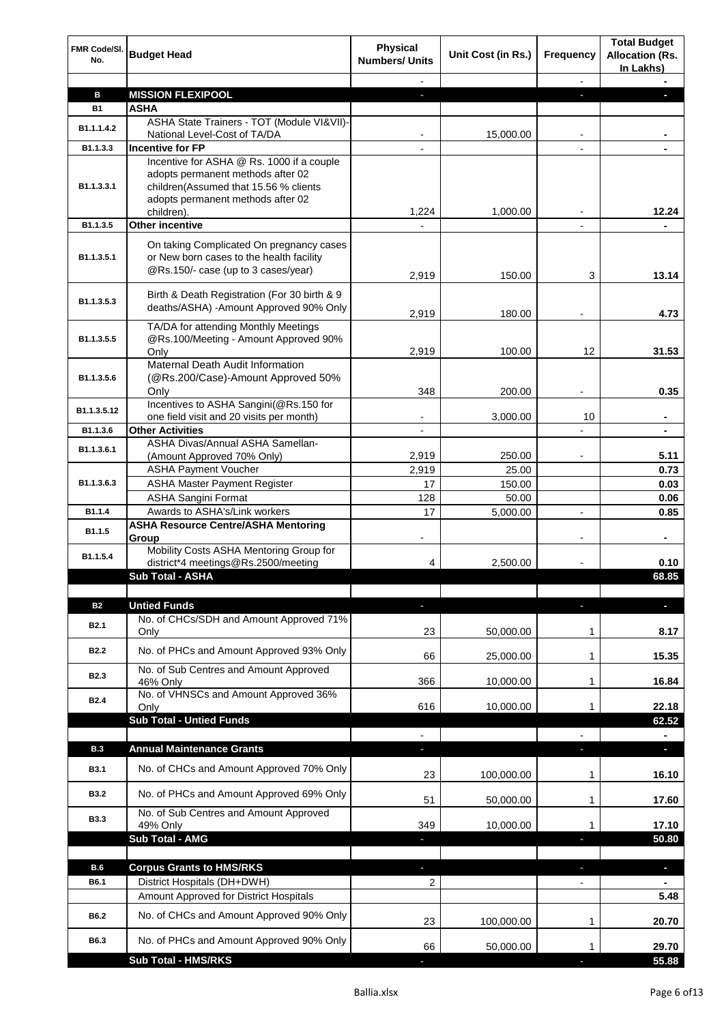| <b>FMR Code/SI.</b><br>No. | <b>Budget Head</b>                                                                                                                                                         | <b>Physical</b><br><b>Numbers/ Units</b> | Unit Cost (in Rs.) | Frequency                | <b>Total Budget</b><br><b>Allocation (Rs.</b><br>In Lakhs) |
|----------------------------|----------------------------------------------------------------------------------------------------------------------------------------------------------------------------|------------------------------------------|--------------------|--------------------------|------------------------------------------------------------|
|                            |                                                                                                                                                                            |                                          |                    |                          |                                                            |
| в                          | <b>MISSION FLEXIPOOL</b>                                                                                                                                                   |                                          |                    |                          |                                                            |
| <b>B1</b>                  | ASHA                                                                                                                                                                       |                                          |                    |                          |                                                            |
| B1.1.1.4.2                 | ASHA State Trainers - TOT (Module VI&VII)-<br>National Level-Cost of TA/DA                                                                                                 |                                          | 15,000.00          | $\overline{\phantom{0}}$ |                                                            |
| B1.1.3.3                   | <b>Incentive for FP</b>                                                                                                                                                    |                                          |                    |                          |                                                            |
| B1.1.3.3.1                 | Incentive for ASHA @ Rs. 1000 if a couple<br>adopts permanent methods after 02<br>children(Assumed that 15.56 % clients<br>adopts permanent methods after 02<br>children). | 1,224                                    | 1,000.00           |                          | 12.24                                                      |
| B1.1.3.5                   | <b>Other incentive</b>                                                                                                                                                     |                                          |                    |                          |                                                            |
| B1.1.3.5.1                 | On taking Complicated On pregnancy cases<br>or New born cases to the health facility<br>@Rs.150/- case (up to 3 cases/year)                                                | 2,919                                    | 150.00             | 3                        | 13.14                                                      |
| B1.1.3.5.3                 | Birth & Death Registration (For 30 birth & 9<br>deaths/ASHA) -Amount Approved 90% Only                                                                                     | 2,919                                    | 180.00             |                          | 4.73                                                       |
| B1.1.3.5.5                 | TA/DA for attending Monthly Meetings<br>@Rs.100/Meeting - Amount Approved 90%                                                                                              |                                          |                    |                          |                                                            |
|                            | Only<br>Maternal Death Audit Information                                                                                                                                   | 2,919                                    | 100.00             | 12                       | 31.53                                                      |
| B1.1.3.5.6                 | (@Rs.200/Case)-Amount Approved 50%<br>Only                                                                                                                                 | 348                                      | 200.00             |                          | 0.35                                                       |
|                            | Incentives to ASHA Sangini(@Rs.150 for                                                                                                                                     |                                          |                    |                          |                                                            |
| B1.1.3.5.12                | one field visit and 20 visits per month)                                                                                                                                   |                                          | 3,000.00           | 10                       | ٠                                                          |
| B1.1.3.6                   | <b>Other Activities</b>                                                                                                                                                    |                                          |                    |                          | $\blacksquare$                                             |
| B1.1.3.6.1                 | ASHA Divas/Annual ASHA Samellan-                                                                                                                                           |                                          |                    |                          |                                                            |
|                            | (Amount Approved 70% Only)                                                                                                                                                 | 2,919                                    | 250.00             |                          | 5.11                                                       |
|                            | <b>ASHA Payment Voucher</b>                                                                                                                                                | 2,919                                    | 25.00              |                          | 0.73                                                       |
| B1.1.3.6.3                 | <b>ASHA Master Payment Register</b><br><b>ASHA Sangini Format</b>                                                                                                          | 17                                       | 150.00             |                          | 0.03<br>0.06                                               |
| B1.1.4                     | Awards to ASHA's/Link workers                                                                                                                                              | 128<br>17                                | 50.00<br>5,000.00  | $\overline{\phantom{a}}$ | 0.85                                                       |
|                            | <b>ASHA Resource Centre/ASHA Mentoring</b>                                                                                                                                 |                                          |                    |                          |                                                            |
| B1.1.5                     | Group<br>Mobility Costs ASHA Mentoring Group for                                                                                                                           |                                          |                    |                          |                                                            |
| B1.1.5.4                   | district*4 meetings@Rs.2500/meeting                                                                                                                                        | 4                                        | 2,500.00           |                          | 0.10                                                       |
|                            | <b>Sub Total - ASHA</b>                                                                                                                                                    |                                          |                    |                          | 68.85                                                      |
|                            |                                                                                                                                                                            |                                          |                    |                          |                                                            |
| <b>B2</b>                  | <b>Untied Funds</b>                                                                                                                                                        | J                                        |                    |                          | г                                                          |
| <b>B2.1</b>                | No. of CHCs/SDH and Amount Approved 71%<br>Only                                                                                                                            | 23                                       | 50,000.00          | 1                        | 8.17                                                       |
| B <sub>2.2</sub>           | No. of PHCs and Amount Approved 93% Only                                                                                                                                   | 66                                       | 25,000.00          | 1                        | 15.35                                                      |
| B <sub>2.3</sub>           | No. of Sub Centres and Amount Approved<br>46% Only                                                                                                                         | 366                                      | 10,000.00          | 1                        | 16.84                                                      |
| B <sub>2.4</sub>           | No. of VHNSCs and Amount Approved 36%<br>Only<br><b>Sub Total - Untied Funds</b>                                                                                           | 616                                      | 10,000.00          | 1                        | 22.18                                                      |
|                            |                                                                                                                                                                            |                                          |                    |                          | 62.52                                                      |
| <b>B.3</b>                 | <b>Annual Maintenance Grants</b>                                                                                                                                           | н                                        |                    | $\blacksquare$           |                                                            |
| <b>B3.1</b>                | No. of CHCs and Amount Approved 70% Only                                                                                                                                   | 23                                       | 100,000.00         | 1                        | 16.10                                                      |
| <b>B3.2</b>                | No. of PHCs and Amount Approved 69% Only                                                                                                                                   | 51                                       | 50,000.00          | 1                        | 17.60                                                      |
| <b>B3.3</b>                | No. of Sub Centres and Amount Approved<br>49% Only                                                                                                                         | 349                                      | 10,000.00          | 1                        | 17.10                                                      |
|                            | Sub Total - AMG                                                                                                                                                            |                                          |                    |                          | 50.80                                                      |
| <b>B.6</b>                 | <b>Corpus Grants to HMS/RKS</b>                                                                                                                                            | L.                                       |                    | г                        | L.                                                         |
| B6.1                       | District Hospitals (DH+DWH)                                                                                                                                                | $\overline{\mathbf{c}}$                  |                    |                          |                                                            |
|                            | Amount Approved for District Hospitals                                                                                                                                     |                                          |                    |                          | 5.48                                                       |
| B6.2                       | No. of CHCs and Amount Approved 90% Only                                                                                                                                   | 23                                       | 100,000.00         | 1                        | 20.70                                                      |
| B6.3                       | No. of PHCs and Amount Approved 90% Only                                                                                                                                   | 66                                       | 50,000.00          |                          | 29.70                                                      |
|                            | <b>Sub Total - HMS/RKS</b>                                                                                                                                                 | a.                                       |                    | ×.                       | 55.88                                                      |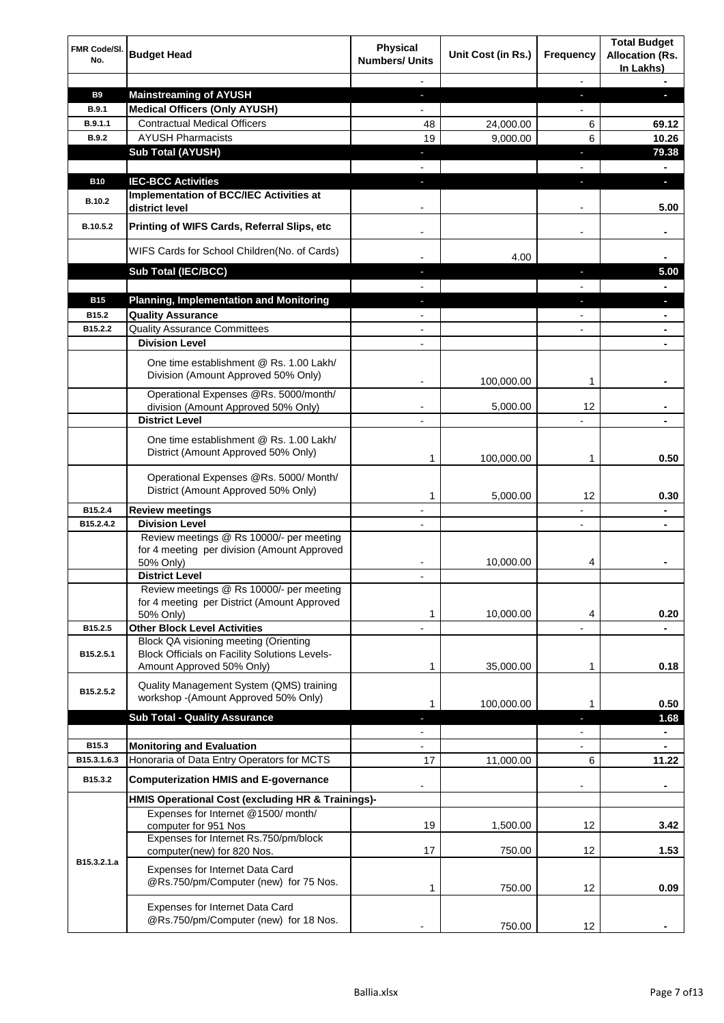| FMR Code/SI.<br>No.  | <b>Budget Head</b>                                                                                                                | <b>Physical</b><br><b>Numbers/ Units</b> | Unit Cost (in Rs.) | <b>Frequency</b>         | <b>Total Budget</b><br><b>Allocation (Rs.</b><br>In Lakhs) |
|----------------------|-----------------------------------------------------------------------------------------------------------------------------------|------------------------------------------|--------------------|--------------------------|------------------------------------------------------------|
|                      |                                                                                                                                   |                                          |                    |                          |                                                            |
| <b>B9</b>            | <b>Mainstreaming of AYUSH</b>                                                                                                     | $\blacksquare$                           |                    | J,                       |                                                            |
| B.9.1                | <b>Medical Officers (Only AYUSH)</b>                                                                                              |                                          |                    |                          |                                                            |
| B.9.1.1              | <b>Contractual Medical Officers</b>                                                                                               | 48                                       | 24,000.00          | 6                        | 69.12                                                      |
| <b>B.9.2</b>         | <b>AYUSH Pharmacists</b>                                                                                                          | 19                                       | 9,000.00           | 6                        | 10.26                                                      |
|                      | <b>Sub Total (AYUSH)</b>                                                                                                          |                                          |                    |                          | 79.38                                                      |
|                      | <b>IEC-BCC Activities</b>                                                                                                         |                                          |                    |                          |                                                            |
| <b>B10</b>           |                                                                                                                                   |                                          |                    |                          | H.                                                         |
| <b>B.10.2</b>        | Implementation of BCC/IEC Activities at<br>district level                                                                         |                                          |                    |                          | 5.00                                                       |
| B.10.5.2             | Printing of WIFS Cards, Referral Slips, etc                                                                                       |                                          |                    |                          |                                                            |
|                      | WIFS Cards for School Children(No. of Cards)                                                                                      |                                          | 4.00               |                          |                                                            |
|                      | Sub Total (IEC/BCC)                                                                                                               | a.                                       |                    | ÷,                       | 5.00                                                       |
|                      |                                                                                                                                   |                                          |                    |                          | $\blacksquare$                                             |
| <b>B15</b>           | <b>Planning, Implementation and Monitoring</b>                                                                                    | $\blacksquare$                           |                    | J,                       | ٠                                                          |
| B <sub>15.2</sub>    | <b>Quality Assurance</b>                                                                                                          | $\blacksquare$                           |                    | $\overline{\phantom{a}}$ | $\blacksquare$                                             |
| B15.2.2              | <b>Quality Assurance Committees</b><br><b>Division Level</b>                                                                      | $\overline{\phantom{a}}$                 |                    | $\overline{\phantom{a}}$ | $\blacksquare$                                             |
|                      |                                                                                                                                   |                                          |                    |                          | ٠                                                          |
|                      | One time establishment @ Rs. 1.00 Lakh/<br>Division (Amount Approved 50% Only)                                                    |                                          | 100,000.00         | 1                        |                                                            |
|                      | Operational Expenses @Rs. 5000/month/                                                                                             |                                          |                    |                          |                                                            |
|                      | division (Amount Approved 50% Only)                                                                                               |                                          | 5,000.00           | 12                       |                                                            |
|                      | <b>District Level</b>                                                                                                             |                                          |                    |                          |                                                            |
|                      | One time establishment @ Rs. 1.00 Lakh/<br>District (Amount Approved 50% Only)                                                    | 1                                        | 100,000.00         | 1                        | 0.50                                                       |
|                      | Operational Expenses @Rs. 5000/ Month/<br>District (Amount Approved 50% Only)                                                     | 1                                        |                    | 12                       | 0.30                                                       |
| B15.2.4              | <b>Review meetings</b>                                                                                                            |                                          | 5,000.00           |                          |                                                            |
| B15.2.4.2            | <b>Division Level</b>                                                                                                             |                                          |                    |                          |                                                            |
|                      | Review meetings @ Rs 10000/- per meeting<br>for 4 meeting per division (Amount Approved                                           |                                          |                    |                          |                                                            |
|                      | 50% Only)                                                                                                                         |                                          | 10,000.00          | 4                        | ٠                                                          |
|                      | <b>District Level</b><br>Review meetings @ Rs 10000/- per meeting<br>for 4 meeting per District (Amount Approved<br>50% Only)     | 1                                        | 10,000.00          | 4                        | 0.20                                                       |
| B15.2.5              | <b>Other Block Level Activities</b>                                                                                               |                                          |                    |                          |                                                            |
| B15.2.5.1            | <b>Block QA visioning meeting (Orienting</b><br><b>Block Officials on Facility Solutions Levels-</b><br>Amount Approved 50% Only) | 1                                        | 35,000.00          | 1                        | 0.18                                                       |
| B15.2.5.2            | Quality Management System (QMS) training<br>workshop - (Amount Approved 50% Only)                                                 | 1                                        | 100,000.00         | 1                        | 0.50                                                       |
|                      | <b>Sub Total - Quality Assurance</b>                                                                                              |                                          |                    |                          | 1.68                                                       |
|                      |                                                                                                                                   |                                          |                    |                          | $\blacksquare$                                             |
| B15.3<br>B15.3.1.6.3 | <b>Monitoring and Evaluation</b>                                                                                                  |                                          |                    |                          | ٠                                                          |
|                      | Honoraria of Data Entry Operators for MCTS                                                                                        | 17                                       | 11,000.00          | 6                        | 11.22                                                      |
| B15.3.2              | <b>Computerization HMIS and E-governance</b>                                                                                      |                                          |                    |                          |                                                            |
|                      | HMIS Operational Cost (excluding HR & Trainings)-                                                                                 |                                          |                    |                          |                                                            |
|                      | Expenses for Internet @1500/month/<br>computer for 951 Nos                                                                        | 19                                       | 1,500.00           | 12                       | 3.42                                                       |
|                      | Expenses for Internet Rs.750/pm/block<br>computer(new) for 820 Nos.                                                               | 17                                       | 750.00             | 12                       | 1.53                                                       |
| B15.3.2.1.a          | Expenses for Internet Data Card<br>@Rs.750/pm/Computer (new) for 75 Nos.                                                          | 1                                        | 750.00             | 12                       | 0.09                                                       |
|                      | Expenses for Internet Data Card<br>@Rs.750/pm/Computer (new) for 18 Nos.                                                          |                                          |                    |                          |                                                            |
|                      |                                                                                                                                   |                                          | 750.00             | 12                       |                                                            |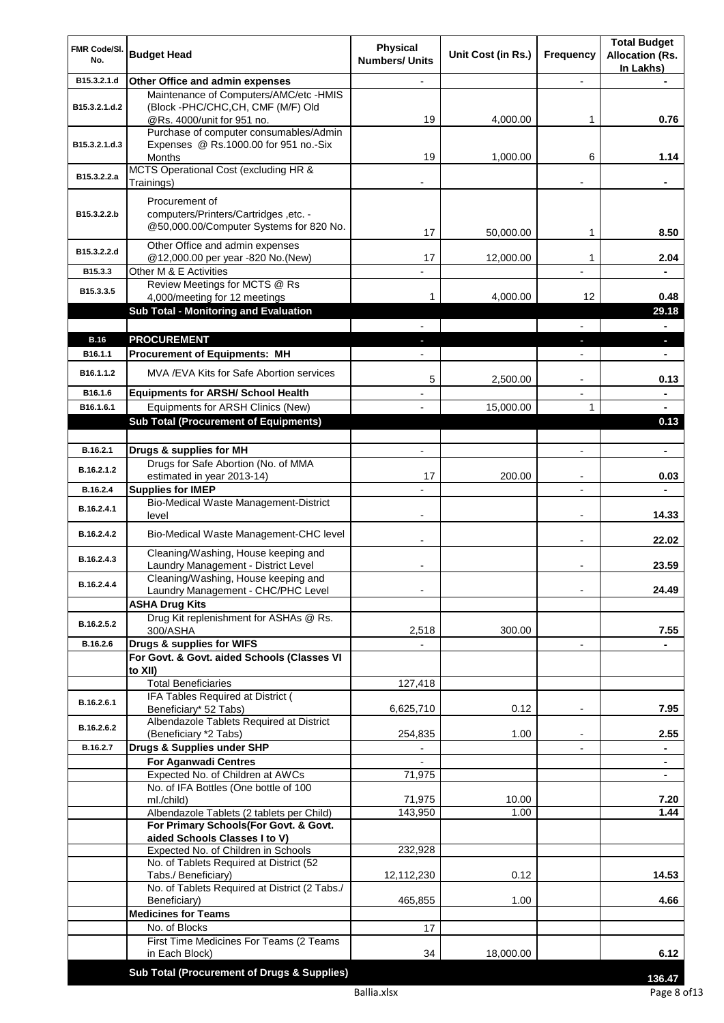| FMR Code/SI.<br>No.    | <b>Budget Head</b>                                                                                 | <b>Physical</b>       | Unit Cost (in Rs.) | <b>Frequency</b>         | <b>Total Budget</b><br><b>Allocation (Rs.</b> |
|------------------------|----------------------------------------------------------------------------------------------------|-----------------------|--------------------|--------------------------|-----------------------------------------------|
|                        |                                                                                                    | <b>Numbers/ Units</b> |                    |                          | In Lakhs)                                     |
| B15.3.2.1.d            | Other Office and admin expenses                                                                    |                       |                    |                          |                                               |
| B15.3.2.1.d.2          | Maintenance of Computers/AMC/etc -HMIS<br>(Block -PHC/CHC, CH, CMF (M/F) Old                       |                       |                    |                          |                                               |
|                        | @Rs. 4000/unit for 951 no.<br>Purchase of computer consumables/Admin                               | 19                    | 4,000.00           | 1                        | 0.76                                          |
| B15.3.2.1.d.3          | Expenses @ Rs.1000.00 for 951 no.-Six<br>Months                                                    | 19                    | 1,000.00           | 6                        | 1.14                                          |
| B15.3.2.2.a            | MCTS Operational Cost (excluding HR &<br>Trainings)                                                |                       |                    |                          |                                               |
| B15.3.2.2.b            | Procurement of<br>computers/Printers/Cartridges, etc. -<br>@50,000.00/Computer Systems for 820 No. | 17                    | 50,000.00          | 1                        | 8.50                                          |
| B15.3.2.2.d            | Other Office and admin expenses<br>@12,000.00 per year -820 No.(New)                               | 17                    | 12,000.00          | 1                        | 2.04                                          |
| B15.3.3                | Other M & E Activities                                                                             |                       |                    |                          |                                               |
| B15.3.3.5              | Review Meetings for MCTS @ Rs<br>4,000/meeting for 12 meetings                                     | 1                     | 4,000.00           | 12                       | 0.48                                          |
|                        | <b>Sub Total - Monitoring and Evaluation</b>                                                       |                       |                    |                          | 29.18                                         |
|                        |                                                                                                    |                       |                    |                          |                                               |
| <b>B.16</b><br>B16.1.1 | <b>PROCUREMENT</b><br><b>Procurement of Equipments: MH</b>                                         |                       |                    |                          | ٠                                             |
| B16.1.1.2              | MVA /EVA Kits for Safe Abortion services                                                           | 5                     |                    |                          | 0.13                                          |
| B16.1.6                | <b>Equipments for ARSH/ School Health</b>                                                          |                       | 2,500.00           | $\overline{\phantom{a}}$ |                                               |
| B16.1.6.1              | Equipments for ARSH Clinics (New)                                                                  |                       | 15,000.00          | 1                        |                                               |
|                        | <b>Sub Total (Procurement of Equipments)</b>                                                       |                       |                    |                          | 0.13                                          |
| B.16.2.1               | Drugs & supplies for MH                                                                            |                       |                    |                          | $\blacksquare$                                |
| B.16.2.1.2             | Drugs for Safe Abortion (No. of MMA<br>estimated in year 2013-14)                                  | 17                    | 200.00             |                          | 0.03                                          |
| B.16.2.4               | <b>Supplies for IMEP</b>                                                                           |                       |                    | $\overline{\phantom{a}}$ |                                               |
| B.16.2.4.1             | Bio-Medical Waste Management-District<br>level                                                     |                       |                    |                          | 14.33                                         |
| B.16.2.4.2             | Bio-Medical Waste Management-CHC level                                                             |                       |                    | $\overline{\phantom{a}}$ | 22.02                                         |
| B.16.2.4.3             | Cleaning/Washing, House keeping and<br>Laundry Management - District Level                         |                       |                    |                          | 23.59                                         |
| B.16.2.4.4             | Cleaning/Washing, House keeping and<br>Laundry Management - CHC/PHC Level                          |                       |                    |                          | 24.49                                         |
|                        | <b>ASHA Drug Kits</b>                                                                              |                       |                    |                          |                                               |
| B.16.2.5.2             | Drug Kit replenishment for ASHAs @ Rs.<br>300/ASHA                                                 | 2,518                 | 300.00             |                          | 7.55                                          |
| B.16.2.6               | Drugs & supplies for WIFS                                                                          |                       |                    | $\overline{\phantom{a}}$ |                                               |
|                        | For Govt. & Govt. aided Schools (Classes VI<br>to XII)                                             |                       |                    |                          |                                               |
|                        | <b>Total Beneficiaries</b>                                                                         | 127,418               |                    |                          |                                               |
| B.16.2.6.1             | IFA Tables Required at District (<br>Beneficiary* 52 Tabs)                                         | 6,625,710             | 0.12               | $\overline{\phantom{a}}$ | 7.95                                          |
| B.16.2.6.2             | Albendazole Tablets Required at District<br>(Beneficiary *2 Tabs)                                  | 254,835               | 1.00               | $\blacksquare$           | 2.55                                          |
| B.16.2.7               | Drugs & Supplies under SHP                                                                         |                       |                    |                          |                                               |
|                        | <b>For Aganwadi Centres</b>                                                                        |                       |                    |                          | ٠                                             |
|                        | Expected No. of Children at AWCs                                                                   | 71,975                |                    |                          | $\blacksquare$                                |
|                        | No. of IFA Bottles (One bottle of 100<br>ml./child)                                                | 71,975                | 10.00              |                          | 7.20                                          |
|                        | Albendazole Tablets (2 tablets per Child)                                                          | 143,950               | 1.00               |                          | 1.44                                          |
|                        | For Primary Schools(For Govt. & Govt.<br>aided Schools Classes I to V)                             |                       |                    |                          |                                               |
|                        | Expected No. of Children in Schools                                                                | 232,928               |                    |                          |                                               |
|                        | No. of Tablets Required at District (52<br>Tabs./ Beneficiary)                                     | 12,112,230            | 0.12               |                          | 14.53                                         |
|                        | No. of Tablets Required at District (2 Tabs./<br>Beneficiary)                                      | 465,855               | 1.00               |                          | 4.66                                          |
|                        | <b>Medicines for Teams</b>                                                                         |                       |                    |                          |                                               |
|                        | No. of Blocks                                                                                      | 17                    |                    |                          |                                               |
|                        | First Time Medicines For Teams (2 Teams<br>in Each Block)                                          | 34                    | 18,000.00          |                          | 6.12                                          |
|                        | Sub Total (Procurement of Drugs & Supplies)                                                        |                       |                    |                          | 136.47                                        |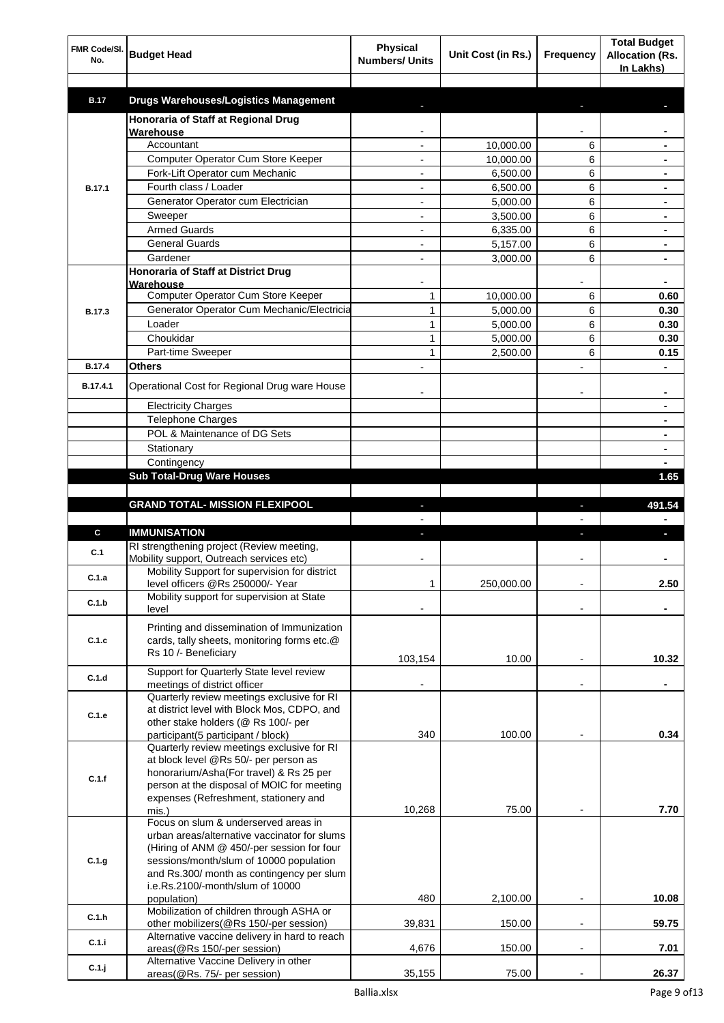| FMR Code/SI.  |                                                                                           | <b>Physical</b>          |                        |                              | <b>Total Budget</b>                 |
|---------------|-------------------------------------------------------------------------------------------|--------------------------|------------------------|------------------------------|-------------------------------------|
| No.           | <b>Budget Head</b>                                                                        | <b>Numbers/ Units</b>    | Unit Cost (in Rs.)     | <b>Frequency</b>             | <b>Allocation (Rs.</b><br>In Lakhs) |
|               |                                                                                           |                          |                        |                              |                                     |
| <b>B.17</b>   | <b>Drugs Warehouses/Logistics Management</b>                                              |                          |                        |                              |                                     |
|               | Honoraria of Staff at Regional Drug                                                       |                          |                        |                              |                                     |
|               | Warehouse<br>Accountant                                                                   |                          |                        |                              |                                     |
|               | Computer Operator Cum Store Keeper                                                        |                          | 10,000.00<br>10,000.00 | 6<br>6                       |                                     |
|               | Fork-Lift Operator cum Mechanic                                                           |                          | 6,500.00               | 6                            |                                     |
| <b>B.17.1</b> | Fourth class / Loader                                                                     |                          | 6,500.00               | 6                            |                                     |
|               | Generator Operator cum Electrician                                                        |                          | 5,000.00               | 6                            |                                     |
|               | Sweeper                                                                                   | $\overline{\phantom{a}}$ | 3,500.00               | 6                            | ٠                                   |
|               | <b>Armed Guards</b>                                                                       |                          | 6,335.00               | 6                            |                                     |
|               | <b>General Guards</b>                                                                     |                          | 5,157.00               | 6                            |                                     |
|               | Gardener                                                                                  |                          | 3,000.00               | 6                            |                                     |
|               | Honoraria of Staff at District Drug                                                       |                          |                        |                              |                                     |
|               | Warehouse<br>Computer Operator Cum Store Keeper                                           | $\mathbf{1}$             | 10,000.00              | 6                            | 0.60                                |
| <b>B.17.3</b> | Generator Operator Cum Mechanic/Electricia                                                | $\mathbf{1}$             | 5.000.00               | 6                            | 0.30                                |
|               | Loader                                                                                    | $\mathbf{1}$             | 5,000.00               | 6                            | 0.30                                |
|               | Choukidar                                                                                 | 1                        | 5,000.00               | 6                            | 0.30                                |
|               | Part-time Sweeper                                                                         | $\mathbf{1}$             | 2,500.00               | 6                            | 0.15                                |
| <b>B.17.4</b> | <b>Others</b>                                                                             |                          |                        |                              |                                     |
| B.17.4.1      | Operational Cost for Regional Drug ware House                                             |                          |                        |                              |                                     |
|               | <b>Electricity Charges</b>                                                                |                          |                        |                              |                                     |
|               | Telephone Charges                                                                         |                          |                        |                              |                                     |
|               | POL & Maintenance of DG Sets                                                              |                          |                        |                              | ۰                                   |
|               | Stationary                                                                                |                          |                        |                              |                                     |
|               | Contingency                                                                               |                          |                        |                              |                                     |
|               | <b>Sub Total-Drug Ware Houses</b>                                                         |                          |                        |                              | 1.65                                |
|               |                                                                                           |                          |                        |                              |                                     |
|               | <b>GRAND TOTAL- MISSION FLEXIPOOL</b>                                                     |                          |                        |                              | 491.54                              |
|               |                                                                                           |                          |                        |                              |                                     |
|               |                                                                                           | ı                        |                        |                              |                                     |
| C<br>C.1      | <b>IMMUNISATION</b><br>RI strengthening project (Review meeting,                          |                          |                        | a,                           |                                     |
|               | Mobility support, Outreach services etc)                                                  |                          |                        |                              |                                     |
| C.1.a         | Mobility Support for supervision for district<br>level officers @Rs 250000/- Year         | 1                        | 250,000.00             | $\qquad \qquad \blacksquare$ | 2.50                                |
| C.1.b         | Mobility support for supervision at State<br>level                                        |                          |                        |                              |                                     |
|               |                                                                                           |                          |                        |                              |                                     |
| C.1.c         | Printing and dissemination of Immunization<br>cards, tally sheets, monitoring forms etc.@ |                          |                        |                              |                                     |
|               | Rs 10 /- Beneficiary                                                                      |                          |                        |                              |                                     |
|               |                                                                                           | 103,154                  | 10.00                  |                              | 10.32                               |
| C.1.d         | Support for Quarterly State level review<br>meetings of district officer                  |                          |                        |                              |                                     |
|               | Quarterly review meetings exclusive for RI                                                |                          |                        |                              |                                     |
| C.1.e         | at district level with Block Mos, CDPO, and                                               |                          |                        |                              |                                     |
|               | other stake holders (@ Rs 100/- per                                                       |                          |                        |                              |                                     |
|               | participant(5 participant / block)<br>Quarterly review meetings exclusive for RI          | 340                      | 100.00                 |                              | 0.34                                |
|               | at block level @Rs 50/- per person as                                                     |                          |                        |                              |                                     |
| C.1.f         | honorarium/Asha(For travel) & Rs 25 per                                                   |                          |                        |                              |                                     |
|               | person at the disposal of MOIC for meeting                                                |                          |                        |                              |                                     |
|               | expenses (Refreshment, stationery and                                                     |                          |                        |                              |                                     |
|               | mis.)<br>Focus on slum & underserved areas in                                             | 10,268                   | 75.00                  |                              | 7.70                                |
|               | urban areas/alternative vaccinator for slums                                              |                          |                        |                              |                                     |
|               | (Hiring of ANM @ 450/-per session for four                                                |                          |                        |                              |                                     |
| C.1.g         | sessions/month/slum of 10000 population                                                   |                          |                        |                              |                                     |
|               | and Rs.300/ month as contingency per slum                                                 |                          |                        |                              |                                     |
|               | i.e.Rs.2100/-month/slum of 10000<br>population)                                           | 480                      | 2,100.00               | $\overline{a}$               | 10.08                               |
|               | Mobilization of children through ASHA or                                                  |                          |                        |                              |                                     |
| C.1.h         | other mobilizers(@Rs 150/-per session)                                                    | 39,831                   | 150.00                 | $\overline{\phantom{a}}$     | 59.75                               |
| C.1.i         | Alternative vaccine delivery in hard to reach                                             |                          |                        |                              |                                     |
| C.1.j         | areas(@Rs 150/-per session)<br>Alternative Vaccine Delivery in other                      | 4,676                    | 150.00                 | $\qquad \qquad \blacksquare$ | 7.01                                |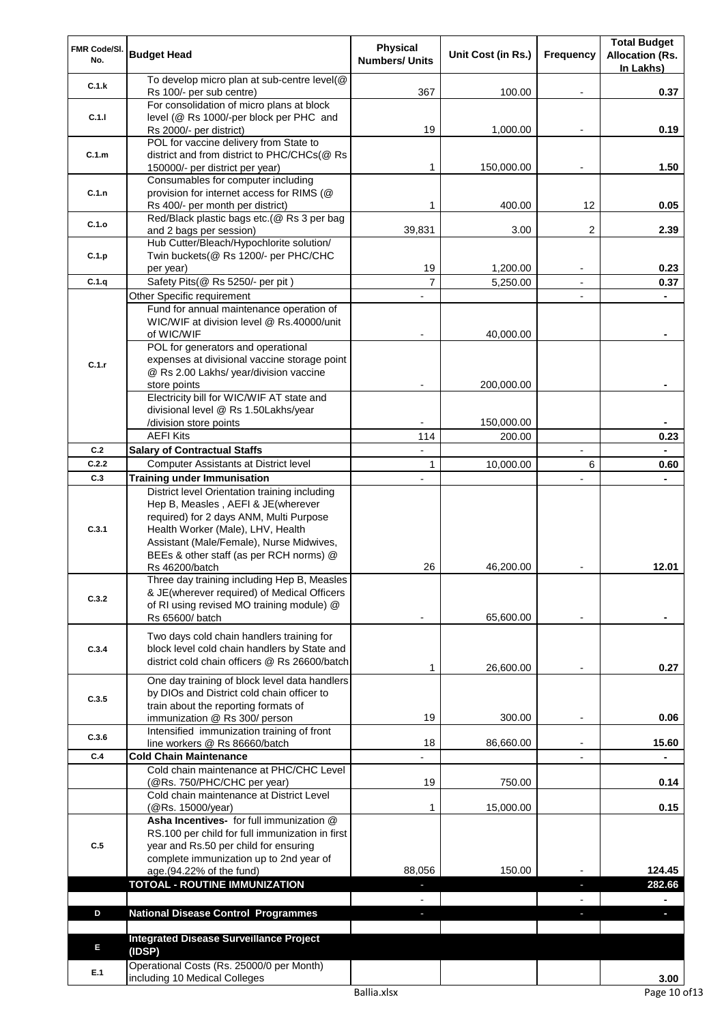| FMR Code/SI.<br>No. | <b>Budget Head</b>                                                                                                                                                                                                                                         | <b>Physical</b><br><b>Numbers/ Units</b> | Unit Cost (in Rs.) | <b>Frequency</b> | <b>Total Budget</b><br><b>Allocation (Rs.</b> |
|---------------------|------------------------------------------------------------------------------------------------------------------------------------------------------------------------------------------------------------------------------------------------------------|------------------------------------------|--------------------|------------------|-----------------------------------------------|
| C.1.k               | To develop micro plan at sub-centre level(@                                                                                                                                                                                                                | 367                                      | 100.00             |                  | In Lakhs)<br>0.37                             |
|                     | Rs 100/- per sub centre)<br>For consolidation of micro plans at block                                                                                                                                                                                      |                                          |                    |                  |                                               |
| C.1.1               | level (@ Rs 1000/-per block per PHC and<br>Rs 2000/- per district)                                                                                                                                                                                         | 19                                       | 1,000.00           |                  | 0.19                                          |
|                     | POL for vaccine delivery from State to                                                                                                                                                                                                                     |                                          |                    |                  |                                               |
| C.1.m               | district and from district to PHC/CHCs(@ Rs<br>150000/- per district per year)                                                                                                                                                                             | 1                                        | 150,000.00         |                  | 1.50                                          |
|                     | Consumables for computer including                                                                                                                                                                                                                         |                                          |                    |                  |                                               |
| C.1.n               | provision for internet access for RIMS (@                                                                                                                                                                                                                  |                                          |                    |                  |                                               |
|                     | Rs 400/- per month per district)                                                                                                                                                                                                                           | 1                                        | 400.00             | 12               | 0.05                                          |
| C.1.o               | Red/Black plastic bags etc.(@ Rs 3 per bag<br>and 2 bags per session)                                                                                                                                                                                      | 39,831                                   | 3.00               | 2                | 2.39                                          |
|                     | Hub Cutter/Bleach/Hypochlorite solution/                                                                                                                                                                                                                   |                                          |                    |                  |                                               |
| C.1.p               | Twin buckets(@ Rs 1200/- per PHC/CHC                                                                                                                                                                                                                       |                                          |                    |                  |                                               |
|                     | per year)                                                                                                                                                                                                                                                  | 19                                       | 1,200.00           |                  | 0.23                                          |
| C.1.q               | Safety Pits(@ Rs 5250/- per pit)                                                                                                                                                                                                                           | $\overline{7}$                           | 5,250.00           |                  | 0.37                                          |
|                     | Other Specific requirement<br>Fund for annual maintenance operation of                                                                                                                                                                                     |                                          |                    |                  |                                               |
|                     | WIC/WIF at division level @ Rs.40000/unit                                                                                                                                                                                                                  |                                          |                    |                  |                                               |
|                     | of WIC/WIF                                                                                                                                                                                                                                                 |                                          | 40,000.00          |                  |                                               |
|                     | POL for generators and operational                                                                                                                                                                                                                         |                                          |                    |                  |                                               |
| C.1.r               | expenses at divisional vaccine storage point                                                                                                                                                                                                               |                                          |                    |                  |                                               |
|                     | @ Rs 2.00 Lakhs/ year/division vaccine                                                                                                                                                                                                                     |                                          |                    |                  |                                               |
|                     | store points<br>Electricity bill for WIC/WIF AT state and                                                                                                                                                                                                  |                                          | 200,000.00         |                  |                                               |
|                     | divisional level @ Rs 1.50Lakhs/year                                                                                                                                                                                                                       |                                          |                    |                  |                                               |
|                     | /division store points                                                                                                                                                                                                                                     |                                          | 150,000.00         |                  |                                               |
|                     | <b>AEFI Kits</b>                                                                                                                                                                                                                                           | 114                                      | 200.00             |                  | 0.23                                          |
| C.2                 | <b>Salary of Contractual Staffs</b>                                                                                                                                                                                                                        |                                          |                    |                  |                                               |
| C.2.2               | <b>Computer Assistants at District level</b>                                                                                                                                                                                                               | 1                                        | 10,000.00          | 6                | 0.60                                          |
| C.3                 | <b>Training under Immunisation</b>                                                                                                                                                                                                                         |                                          |                    |                  |                                               |
| C.3.1               | District level Orientation training including<br>Hep B, Measles, AEFI & JE(wherever<br>required) for 2 days ANM, Multi Purpose<br>Health Worker (Male), LHV, Health<br>Assistant (Male/Female), Nurse Midwives,<br>BEEs & other staff (as per RCH norms) @ |                                          |                    |                  |                                               |
|                     | Rs 46200/batch<br>Three day training including Hep B, Measles                                                                                                                                                                                              | 26                                       | 46,200.00          |                  | 12.01                                         |
|                     | & JE(wherever required) of Medical Officers                                                                                                                                                                                                                |                                          |                    |                  |                                               |
| C.3.2               | of RI using revised MO training module) @                                                                                                                                                                                                                  |                                          |                    |                  |                                               |
|                     | Rs 65600/ batch                                                                                                                                                                                                                                            |                                          | 65,600.00          |                  |                                               |
| C.3.4               | Two days cold chain handlers training for<br>block level cold chain handlers by State and<br>district cold chain officers @ Rs 26600/batch                                                                                                                 | 1                                        | 26,600.00          |                  | 0.27                                          |
|                     | One day training of block level data handlers                                                                                                                                                                                                              |                                          |                    |                  |                                               |
| C.3.5               | by DIOs and District cold chain officer to<br>train about the reporting formats of                                                                                                                                                                         |                                          |                    |                  |                                               |
|                     | immunization @ Rs 300/ person                                                                                                                                                                                                                              | 19                                       | 300.00             |                  | 0.06                                          |
|                     | Intensified immunization training of front                                                                                                                                                                                                                 |                                          |                    |                  |                                               |
| C.3.6               | line workers @ Rs 86660/batch                                                                                                                                                                                                                              | 18                                       | 86,660.00          |                  | 15.60                                         |
| C.4                 | <b>Cold Chain Maintenance</b>                                                                                                                                                                                                                              |                                          |                    |                  |                                               |
|                     | Cold chain maintenance at PHC/CHC Level<br>(@Rs. 750/PHC/CHC per year)                                                                                                                                                                                     | 19                                       | 750.00             |                  | 0.14                                          |
|                     | Cold chain maintenance at District Level                                                                                                                                                                                                                   |                                          |                    |                  |                                               |
|                     | (@Rs. 15000/year)<br>Asha Incentives- for full immunization @                                                                                                                                                                                              | 1                                        | 15,000.00          |                  | 0.15                                          |
| C.5                 | RS.100 per child for full immunization in first<br>year and Rs.50 per child for ensuring<br>complete immunization up to 2nd year of                                                                                                                        |                                          |                    |                  |                                               |
|                     | age.(94.22% of the fund)                                                                                                                                                                                                                                   | 88,056                                   | 150.00             |                  | 124.45                                        |
|                     | <b>TOTOAL - ROUTINE IMMUNIZATION</b>                                                                                                                                                                                                                       | ٠                                        |                    | $\blacksquare$   | 282.66                                        |
| D                   | <b>National Disease Control Programmes</b>                                                                                                                                                                                                                 | $\blacksquare$<br>a.                     |                    | $\blacksquare$   | $\blacksquare$                                |
|                     |                                                                                                                                                                                                                                                            |                                          |                    | J,               | $\overline{\phantom{a}}$                      |
|                     | <b>Integrated Disease Surveillance Project</b>                                                                                                                                                                                                             |                                          |                    |                  |                                               |
| E                   | (IDSP)                                                                                                                                                                                                                                                     |                                          |                    |                  |                                               |
| E.1                 | Operational Costs (Rs. 25000/0 per Month)<br>including 10 Medical Colleges                                                                                                                                                                                 |                                          |                    |                  | 3.00                                          |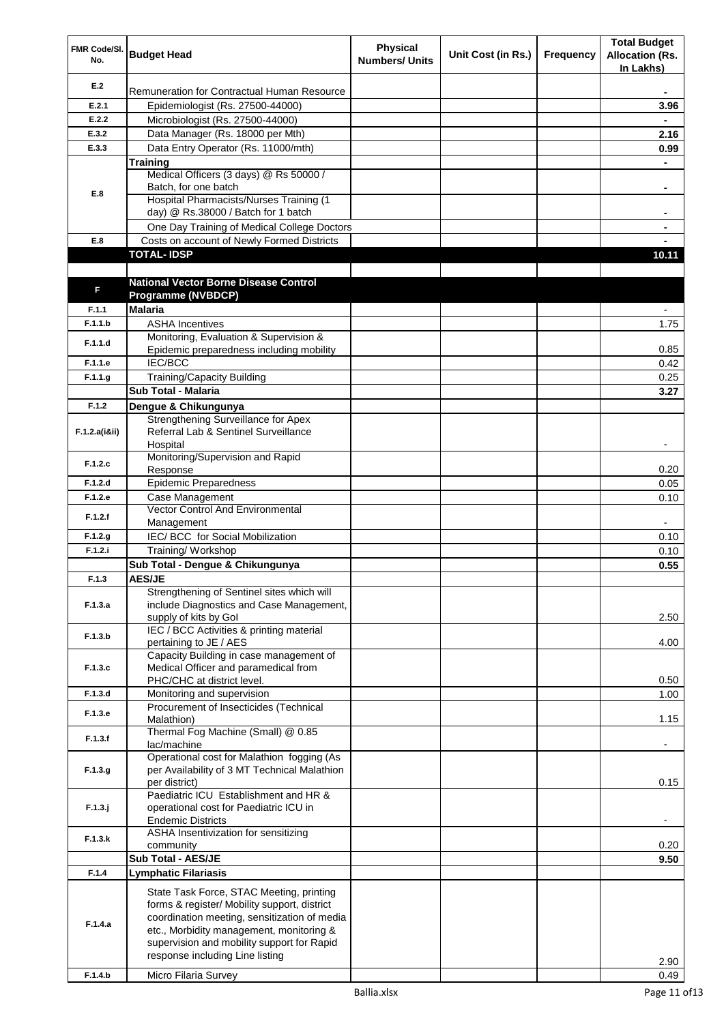| FMR Code/SI.<br>No. | <b>Budget Head</b>                                                              | <b>Physical</b><br><b>Numbers/ Units</b> | Unit Cost (in Rs.) | Frequency | <b>Total Budget</b><br><b>Allocation (Rs.</b><br>In Lakhs) |
|---------------------|---------------------------------------------------------------------------------|------------------------------------------|--------------------|-----------|------------------------------------------------------------|
| E.2                 | Remuneration for Contractual Human Resource                                     |                                          |                    |           |                                                            |
| E.2.1               | Epidemiologist (Rs. 27500-44000)                                                |                                          |                    |           | 3.96                                                       |
| E.2.2               | Microbiologist (Rs. 27500-44000)                                                |                                          |                    |           |                                                            |
| E.3.2               | Data Manager (Rs. 18000 per Mth)                                                |                                          |                    |           | 2.16                                                       |
| E.3.3               | Data Entry Operator (Rs. 11000/mth)                                             |                                          |                    |           | 0.99                                                       |
|                     | <b>Training</b>                                                                 |                                          |                    |           |                                                            |
|                     | Medical Officers (3 days) @ Rs 50000 /                                          |                                          |                    |           |                                                            |
| E.8                 | Batch, for one batch<br>Hospital Pharmacists/Nurses Training (1                 |                                          |                    |           |                                                            |
|                     | day) @ Rs.38000 / Batch for 1 batch                                             |                                          |                    |           | ٠                                                          |
|                     | One Day Training of Medical College Doctors                                     |                                          |                    |           | ۰                                                          |
| E.8                 | Costs on account of Newly Formed Districts                                      |                                          |                    |           |                                                            |
|                     | <b>TOTAL-IDSP</b>                                                               |                                          |                    |           | 10.11                                                      |
|                     |                                                                                 |                                          |                    |           |                                                            |
|                     | <b>National Vector Borne Disease Control</b>                                    |                                          |                    |           |                                                            |
| F                   | Programme (NVBDCP)                                                              |                                          |                    |           |                                                            |
| F.1.1               | <b>Malaria</b>                                                                  |                                          |                    |           |                                                            |
| F.1.1.b             | <b>ASHA Incentives</b>                                                          |                                          |                    |           | 1.75                                                       |
| F.1.1.d             | Monitoring, Evaluation & Supervision &                                          |                                          |                    |           |                                                            |
|                     | Epidemic preparedness including mobility                                        |                                          |                    |           | 0.85                                                       |
| F.1.1.e             | <b>IEC/BCC</b>                                                                  |                                          |                    |           | 0.42                                                       |
| F.1.1.g             | Training/Capacity Building                                                      |                                          |                    |           | 0.25                                                       |
|                     | Sub Total - Malaria                                                             |                                          |                    |           | 3.27                                                       |
| F.1.2               | Dengue & Chikungunya                                                            |                                          |                    |           |                                                            |
|                     | Strengthening Surveillance for Apex                                             |                                          |                    |           |                                                            |
| F.1.2.a(iⅈ)         | Referral Lab & Sentinel Surveillance                                            |                                          |                    |           |                                                            |
|                     | Hospital<br>Monitoring/Supervision and Rapid                                    |                                          |                    |           |                                                            |
| F.1.2.c             | Response                                                                        |                                          |                    |           | 0.20                                                       |
| F.1.2.d             | <b>Epidemic Preparedness</b>                                                    |                                          |                    |           | 0.05                                                       |
| F.1.2.e             | Case Management                                                                 |                                          |                    |           | 0.10                                                       |
| F.1.2.f             | <b>Vector Control And Environmental</b>                                         |                                          |                    |           |                                                            |
|                     | Management                                                                      |                                          |                    |           |                                                            |
| F.1.2.g             | IEC/BCC for Social Mobilization                                                 |                                          |                    |           | 0.10                                                       |
| F.1.2.i             | Training/Workshop                                                               |                                          |                    |           | 0.10                                                       |
|                     | Sub Total - Dengue & Chikungunya                                                |                                          |                    |           | 0.55                                                       |
| F.1.3               | AES/JE                                                                          |                                          |                    |           |                                                            |
|                     | Strengthening of Sentinel sites which will                                      |                                          |                    |           |                                                            |
| F.1.3.a             | include Diagnostics and Case Management,<br>supply of kits by Gol               |                                          |                    |           | 2.50                                                       |
|                     | IEC / BCC Activities & printing material                                        |                                          |                    |           |                                                            |
| F.1.3.b             | pertaining to JE / AES                                                          |                                          |                    |           | 4.00                                                       |
|                     | Capacity Building in case management of                                         |                                          |                    |           |                                                            |
| F.1.3.c             | Medical Officer and paramedical from                                            |                                          |                    |           |                                                            |
|                     | PHC/CHC at district level.                                                      |                                          |                    |           | 0.50                                                       |
| F.1.3.d             | Monitoring and supervision                                                      |                                          |                    |           | 1.00                                                       |
| F.1.3.e             | Procurement of Insecticides (Technical<br>Malathion)                            |                                          |                    |           | 1.15                                                       |
|                     | Thermal Fog Machine (Small) @ 0.85                                              |                                          |                    |           |                                                            |
| F.1.3.f             | lac/machine                                                                     |                                          |                    |           |                                                            |
|                     | Operational cost for Malathion fogging (As                                      |                                          |                    |           |                                                            |
| F.1.3.g             | per Availability of 3 MT Technical Malathion                                    |                                          |                    |           |                                                            |
|                     | per district)                                                                   |                                          |                    |           | 0.15                                                       |
|                     | Paediatric ICU Establishment and HR &<br>operational cost for Paediatric ICU in |                                          |                    |           |                                                            |
| $F.1.3.$ j          | <b>Endemic Districts</b>                                                        |                                          |                    |           |                                                            |
|                     | ASHA Insentivization for sensitizing                                            |                                          |                    |           |                                                            |
| F.1.3.k             | community                                                                       |                                          |                    |           | 0.20                                                       |
|                     | <b>Sub Total - AES/JE</b>                                                       |                                          |                    |           | 9.50                                                       |
| F.1.4               | Lymphatic Filariasis                                                            |                                          |                    |           |                                                            |
|                     | State Task Force, STAC Meeting, printing                                        |                                          |                    |           |                                                            |
|                     | forms & register/ Mobility support, district                                    |                                          |                    |           |                                                            |
|                     | coordination meeting, sensitization of media                                    |                                          |                    |           |                                                            |
| F.1.4.a             | etc., Morbidity management, monitoring &                                        |                                          |                    |           |                                                            |
|                     | supervision and mobility support for Rapid                                      |                                          |                    |           |                                                            |
|                     | response including Line listing                                                 |                                          |                    |           | 2.90                                                       |
| F.1.4.b             | Micro Filaria Survey                                                            |                                          |                    |           | 0.49                                                       |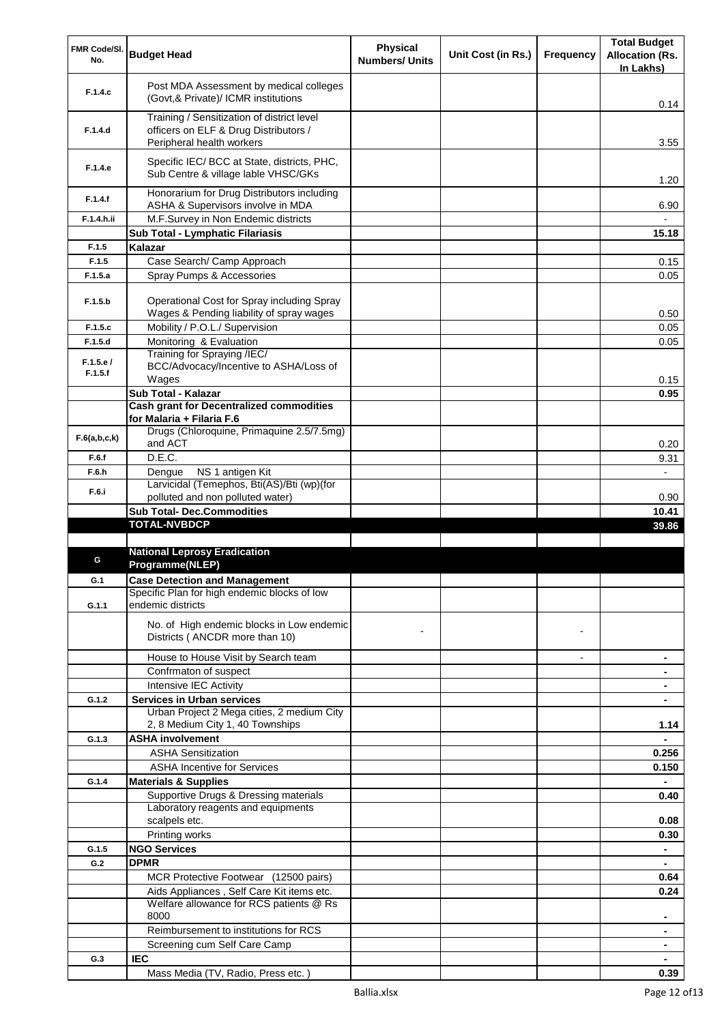| In Lakhs)<br>Post MDA Assessment by medical colleges<br>F.1.4.c<br>(Govt,& Private)/ ICMR institutions<br>0.14<br>Training / Sensitization of district level<br>officers on ELF & Drug Distributors /<br>F.1.4.d<br>3.55<br>Peripheral health workers<br>Specific IEC/ BCC at State, districts, PHC,<br>F.1.4.e<br>Sub Centre & village lable VHSC/GKs<br>1.20<br>Honorarium for Drug Distributors including<br>F.1.4.f<br>6.90<br>ASHA & Supervisors involve in MDA<br>M.F.Survey in Non Endemic districts<br>F.1.4.h.ii<br>Sub Total - Lymphatic Filariasis<br>15.18<br>Kalazar<br>F.1.5<br>F.1.5<br>Case Search/ Camp Approach<br>0.15<br>F.1.5.a<br>Spray Pumps & Accessories<br>0.05<br>Operational Cost for Spray including Spray<br>F.1.5.b<br>Wages & Pending liability of spray wages<br>0.50<br>Mobility / P.O.L./ Supervision<br>F.1.5.c<br>0.05<br>Monitoring & Evaluation<br>F.1.5.d<br>0.05<br>Training for Spraying /IEC/<br>F.1.5.e/<br>BCC/Advocacy/Incentive to ASHA/Loss of<br>F.1.5.f<br>Wages<br>0.15<br>Sub Total - Kalazar<br>0.95<br><b>Cash grant for Decentralized commodities</b><br>for Malaria + Filaria F.6<br>Drugs (Chloroquine, Primaquine 2.5/7.5mg)<br>F.6(a,b,c,k)<br>and ACT<br>0.20<br>D.E.C.<br>F.6.f<br>9.31<br>NS 1 antigen Kit<br>F.6.h<br>Dengue<br>Larvicidal (Temephos, Bti(AS)/Bti (wp)(for<br>F.6.i<br>polluted and non polluted water)<br>0.90<br><b>Sub Total- Dec.Commodities</b><br>10.41<br><b>TOTAL-NVBDCP</b><br>39.86<br><b>National Leprosy Eradication</b><br>G<br>Programme(NLEP)<br><b>Case Detection and Management</b><br>G.1<br>Specific Plan for high endemic blocks of low<br>endemic districts<br>G.1.1<br>No. of High endemic blocks in Low endemic<br>Districts (ANCDR more than 10)<br>House to House Visit by Search team<br>۰<br>Confrmaton of suspect<br>Intensive IEC Activity<br>$\blacksquare$<br><b>Services in Urban services</b><br>G.1.2<br>Urban Project 2 Mega cities, 2 medium City<br>2, 8 Medium City 1, 40 Townships<br>1.14<br><b>ASHA involvement</b><br>G.1.3<br><b>ASHA Sensitization</b><br>0.256<br><b>ASHA Incentive for Services</b><br>0.150<br><b>Materials &amp; Supplies</b><br>G.1.4<br>Supportive Drugs & Dressing materials<br>0.40<br>Laboratory reagents and equipments<br>scalpels etc.<br>0.08<br>Printing works<br>0.30<br><b>NGO Services</b><br>G.1.5<br>$\blacksquare$<br><b>DPMR</b><br>G.2<br>$\blacksquare$<br>MCR Protective Footwear (12500 pairs)<br>0.64<br>Aids Appliances, Self Care Kit items etc.<br>0.24<br>Welfare allowance for RCS patients @ Rs<br>8000<br>Reimbursement to institutions for RCS<br>Screening cum Self Care Camp<br><b>IEC</b><br>G.3 | FMR Code/SI. | <b>Budget Head</b>                 | <b>Physical</b>       | Unit Cost (in Rs.) | <b>Frequency</b> | <b>Total Budget</b><br><b>Allocation (Rs.</b> |
|----------------------------------------------------------------------------------------------------------------------------------------------------------------------------------------------------------------------------------------------------------------------------------------------------------------------------------------------------------------------------------------------------------------------------------------------------------------------------------------------------------------------------------------------------------------------------------------------------------------------------------------------------------------------------------------------------------------------------------------------------------------------------------------------------------------------------------------------------------------------------------------------------------------------------------------------------------------------------------------------------------------------------------------------------------------------------------------------------------------------------------------------------------------------------------------------------------------------------------------------------------------------------------------------------------------------------------------------------------------------------------------------------------------------------------------------------------------------------------------------------------------------------------------------------------------------------------------------------------------------------------------------------------------------------------------------------------------------------------------------------------------------------------------------------------------------------------------------------------------------------------------------------------------------------------------------------------------------------------------------------------------------------------------------------------------------------------------------------------------------------------------------------------------------------------------------------------------------------------------------------------------------------------------------------------------------------------------------------------------------------------------------------------------------------------------------------------------------------------------------------------------------------------------------------------------------------------------------------------------------------------------------------------------------------------|--------------|------------------------------------|-----------------------|--------------------|------------------|-----------------------------------------------|
|                                                                                                                                                                                                                                                                                                                                                                                                                                                                                                                                                                                                                                                                                                                                                                                                                                                                                                                                                                                                                                                                                                                                                                                                                                                                                                                                                                                                                                                                                                                                                                                                                                                                                                                                                                                                                                                                                                                                                                                                                                                                                                                                                                                                                                                                                                                                                                                                                                                                                                                                                                                                                                                                                  | No.          |                                    | <b>Numbers/ Units</b> |                    |                  |                                               |
|                                                                                                                                                                                                                                                                                                                                                                                                                                                                                                                                                                                                                                                                                                                                                                                                                                                                                                                                                                                                                                                                                                                                                                                                                                                                                                                                                                                                                                                                                                                                                                                                                                                                                                                                                                                                                                                                                                                                                                                                                                                                                                                                                                                                                                                                                                                                                                                                                                                                                                                                                                                                                                                                                  |              |                                    |                       |                    |                  |                                               |
|                                                                                                                                                                                                                                                                                                                                                                                                                                                                                                                                                                                                                                                                                                                                                                                                                                                                                                                                                                                                                                                                                                                                                                                                                                                                                                                                                                                                                                                                                                                                                                                                                                                                                                                                                                                                                                                                                                                                                                                                                                                                                                                                                                                                                                                                                                                                                                                                                                                                                                                                                                                                                                                                                  |              |                                    |                       |                    |                  |                                               |
|                                                                                                                                                                                                                                                                                                                                                                                                                                                                                                                                                                                                                                                                                                                                                                                                                                                                                                                                                                                                                                                                                                                                                                                                                                                                                                                                                                                                                                                                                                                                                                                                                                                                                                                                                                                                                                                                                                                                                                                                                                                                                                                                                                                                                                                                                                                                                                                                                                                                                                                                                                                                                                                                                  |              |                                    |                       |                    |                  |                                               |
|                                                                                                                                                                                                                                                                                                                                                                                                                                                                                                                                                                                                                                                                                                                                                                                                                                                                                                                                                                                                                                                                                                                                                                                                                                                                                                                                                                                                                                                                                                                                                                                                                                                                                                                                                                                                                                                                                                                                                                                                                                                                                                                                                                                                                                                                                                                                                                                                                                                                                                                                                                                                                                                                                  |              |                                    |                       |                    |                  |                                               |
|                                                                                                                                                                                                                                                                                                                                                                                                                                                                                                                                                                                                                                                                                                                                                                                                                                                                                                                                                                                                                                                                                                                                                                                                                                                                                                                                                                                                                                                                                                                                                                                                                                                                                                                                                                                                                                                                                                                                                                                                                                                                                                                                                                                                                                                                                                                                                                                                                                                                                                                                                                                                                                                                                  |              |                                    |                       |                    |                  |                                               |
|                                                                                                                                                                                                                                                                                                                                                                                                                                                                                                                                                                                                                                                                                                                                                                                                                                                                                                                                                                                                                                                                                                                                                                                                                                                                                                                                                                                                                                                                                                                                                                                                                                                                                                                                                                                                                                                                                                                                                                                                                                                                                                                                                                                                                                                                                                                                                                                                                                                                                                                                                                                                                                                                                  |              |                                    |                       |                    |                  |                                               |
|                                                                                                                                                                                                                                                                                                                                                                                                                                                                                                                                                                                                                                                                                                                                                                                                                                                                                                                                                                                                                                                                                                                                                                                                                                                                                                                                                                                                                                                                                                                                                                                                                                                                                                                                                                                                                                                                                                                                                                                                                                                                                                                                                                                                                                                                                                                                                                                                                                                                                                                                                                                                                                                                                  |              |                                    |                       |                    |                  |                                               |
|                                                                                                                                                                                                                                                                                                                                                                                                                                                                                                                                                                                                                                                                                                                                                                                                                                                                                                                                                                                                                                                                                                                                                                                                                                                                                                                                                                                                                                                                                                                                                                                                                                                                                                                                                                                                                                                                                                                                                                                                                                                                                                                                                                                                                                                                                                                                                                                                                                                                                                                                                                                                                                                                                  |              |                                    |                       |                    |                  |                                               |
|                                                                                                                                                                                                                                                                                                                                                                                                                                                                                                                                                                                                                                                                                                                                                                                                                                                                                                                                                                                                                                                                                                                                                                                                                                                                                                                                                                                                                                                                                                                                                                                                                                                                                                                                                                                                                                                                                                                                                                                                                                                                                                                                                                                                                                                                                                                                                                                                                                                                                                                                                                                                                                                                                  |              |                                    |                       |                    |                  |                                               |
|                                                                                                                                                                                                                                                                                                                                                                                                                                                                                                                                                                                                                                                                                                                                                                                                                                                                                                                                                                                                                                                                                                                                                                                                                                                                                                                                                                                                                                                                                                                                                                                                                                                                                                                                                                                                                                                                                                                                                                                                                                                                                                                                                                                                                                                                                                                                                                                                                                                                                                                                                                                                                                                                                  |              |                                    |                       |                    |                  |                                               |
|                                                                                                                                                                                                                                                                                                                                                                                                                                                                                                                                                                                                                                                                                                                                                                                                                                                                                                                                                                                                                                                                                                                                                                                                                                                                                                                                                                                                                                                                                                                                                                                                                                                                                                                                                                                                                                                                                                                                                                                                                                                                                                                                                                                                                                                                                                                                                                                                                                                                                                                                                                                                                                                                                  |              |                                    |                       |                    |                  |                                               |
|                                                                                                                                                                                                                                                                                                                                                                                                                                                                                                                                                                                                                                                                                                                                                                                                                                                                                                                                                                                                                                                                                                                                                                                                                                                                                                                                                                                                                                                                                                                                                                                                                                                                                                                                                                                                                                                                                                                                                                                                                                                                                                                                                                                                                                                                                                                                                                                                                                                                                                                                                                                                                                                                                  |              |                                    |                       |                    |                  |                                               |
|                                                                                                                                                                                                                                                                                                                                                                                                                                                                                                                                                                                                                                                                                                                                                                                                                                                                                                                                                                                                                                                                                                                                                                                                                                                                                                                                                                                                                                                                                                                                                                                                                                                                                                                                                                                                                                                                                                                                                                                                                                                                                                                                                                                                                                                                                                                                                                                                                                                                                                                                                                                                                                                                                  |              |                                    |                       |                    |                  |                                               |
|                                                                                                                                                                                                                                                                                                                                                                                                                                                                                                                                                                                                                                                                                                                                                                                                                                                                                                                                                                                                                                                                                                                                                                                                                                                                                                                                                                                                                                                                                                                                                                                                                                                                                                                                                                                                                                                                                                                                                                                                                                                                                                                                                                                                                                                                                                                                                                                                                                                                                                                                                                                                                                                                                  |              |                                    |                       |                    |                  |                                               |
|                                                                                                                                                                                                                                                                                                                                                                                                                                                                                                                                                                                                                                                                                                                                                                                                                                                                                                                                                                                                                                                                                                                                                                                                                                                                                                                                                                                                                                                                                                                                                                                                                                                                                                                                                                                                                                                                                                                                                                                                                                                                                                                                                                                                                                                                                                                                                                                                                                                                                                                                                                                                                                                                                  |              |                                    |                       |                    |                  |                                               |
|                                                                                                                                                                                                                                                                                                                                                                                                                                                                                                                                                                                                                                                                                                                                                                                                                                                                                                                                                                                                                                                                                                                                                                                                                                                                                                                                                                                                                                                                                                                                                                                                                                                                                                                                                                                                                                                                                                                                                                                                                                                                                                                                                                                                                                                                                                                                                                                                                                                                                                                                                                                                                                                                                  |              |                                    |                       |                    |                  |                                               |
|                                                                                                                                                                                                                                                                                                                                                                                                                                                                                                                                                                                                                                                                                                                                                                                                                                                                                                                                                                                                                                                                                                                                                                                                                                                                                                                                                                                                                                                                                                                                                                                                                                                                                                                                                                                                                                                                                                                                                                                                                                                                                                                                                                                                                                                                                                                                                                                                                                                                                                                                                                                                                                                                                  |              |                                    |                       |                    |                  |                                               |
|                                                                                                                                                                                                                                                                                                                                                                                                                                                                                                                                                                                                                                                                                                                                                                                                                                                                                                                                                                                                                                                                                                                                                                                                                                                                                                                                                                                                                                                                                                                                                                                                                                                                                                                                                                                                                                                                                                                                                                                                                                                                                                                                                                                                                                                                                                                                                                                                                                                                                                                                                                                                                                                                                  |              |                                    |                       |                    |                  |                                               |
|                                                                                                                                                                                                                                                                                                                                                                                                                                                                                                                                                                                                                                                                                                                                                                                                                                                                                                                                                                                                                                                                                                                                                                                                                                                                                                                                                                                                                                                                                                                                                                                                                                                                                                                                                                                                                                                                                                                                                                                                                                                                                                                                                                                                                                                                                                                                                                                                                                                                                                                                                                                                                                                                                  |              |                                    |                       |                    |                  |                                               |
|                                                                                                                                                                                                                                                                                                                                                                                                                                                                                                                                                                                                                                                                                                                                                                                                                                                                                                                                                                                                                                                                                                                                                                                                                                                                                                                                                                                                                                                                                                                                                                                                                                                                                                                                                                                                                                                                                                                                                                                                                                                                                                                                                                                                                                                                                                                                                                                                                                                                                                                                                                                                                                                                                  |              |                                    |                       |                    |                  |                                               |
|                                                                                                                                                                                                                                                                                                                                                                                                                                                                                                                                                                                                                                                                                                                                                                                                                                                                                                                                                                                                                                                                                                                                                                                                                                                                                                                                                                                                                                                                                                                                                                                                                                                                                                                                                                                                                                                                                                                                                                                                                                                                                                                                                                                                                                                                                                                                                                                                                                                                                                                                                                                                                                                                                  |              |                                    |                       |                    |                  |                                               |
|                                                                                                                                                                                                                                                                                                                                                                                                                                                                                                                                                                                                                                                                                                                                                                                                                                                                                                                                                                                                                                                                                                                                                                                                                                                                                                                                                                                                                                                                                                                                                                                                                                                                                                                                                                                                                                                                                                                                                                                                                                                                                                                                                                                                                                                                                                                                                                                                                                                                                                                                                                                                                                                                                  |              |                                    |                       |                    |                  |                                               |
|                                                                                                                                                                                                                                                                                                                                                                                                                                                                                                                                                                                                                                                                                                                                                                                                                                                                                                                                                                                                                                                                                                                                                                                                                                                                                                                                                                                                                                                                                                                                                                                                                                                                                                                                                                                                                                                                                                                                                                                                                                                                                                                                                                                                                                                                                                                                                                                                                                                                                                                                                                                                                                                                                  |              |                                    |                       |                    |                  |                                               |
|                                                                                                                                                                                                                                                                                                                                                                                                                                                                                                                                                                                                                                                                                                                                                                                                                                                                                                                                                                                                                                                                                                                                                                                                                                                                                                                                                                                                                                                                                                                                                                                                                                                                                                                                                                                                                                                                                                                                                                                                                                                                                                                                                                                                                                                                                                                                                                                                                                                                                                                                                                                                                                                                                  |              |                                    |                       |                    |                  |                                               |
|                                                                                                                                                                                                                                                                                                                                                                                                                                                                                                                                                                                                                                                                                                                                                                                                                                                                                                                                                                                                                                                                                                                                                                                                                                                                                                                                                                                                                                                                                                                                                                                                                                                                                                                                                                                                                                                                                                                                                                                                                                                                                                                                                                                                                                                                                                                                                                                                                                                                                                                                                                                                                                                                                  |              |                                    |                       |                    |                  |                                               |
|                                                                                                                                                                                                                                                                                                                                                                                                                                                                                                                                                                                                                                                                                                                                                                                                                                                                                                                                                                                                                                                                                                                                                                                                                                                                                                                                                                                                                                                                                                                                                                                                                                                                                                                                                                                                                                                                                                                                                                                                                                                                                                                                                                                                                                                                                                                                                                                                                                                                                                                                                                                                                                                                                  |              |                                    |                       |                    |                  |                                               |
|                                                                                                                                                                                                                                                                                                                                                                                                                                                                                                                                                                                                                                                                                                                                                                                                                                                                                                                                                                                                                                                                                                                                                                                                                                                                                                                                                                                                                                                                                                                                                                                                                                                                                                                                                                                                                                                                                                                                                                                                                                                                                                                                                                                                                                                                                                                                                                                                                                                                                                                                                                                                                                                                                  |              |                                    |                       |                    |                  |                                               |
|                                                                                                                                                                                                                                                                                                                                                                                                                                                                                                                                                                                                                                                                                                                                                                                                                                                                                                                                                                                                                                                                                                                                                                                                                                                                                                                                                                                                                                                                                                                                                                                                                                                                                                                                                                                                                                                                                                                                                                                                                                                                                                                                                                                                                                                                                                                                                                                                                                                                                                                                                                                                                                                                                  |              |                                    |                       |                    |                  |                                               |
|                                                                                                                                                                                                                                                                                                                                                                                                                                                                                                                                                                                                                                                                                                                                                                                                                                                                                                                                                                                                                                                                                                                                                                                                                                                                                                                                                                                                                                                                                                                                                                                                                                                                                                                                                                                                                                                                                                                                                                                                                                                                                                                                                                                                                                                                                                                                                                                                                                                                                                                                                                                                                                                                                  |              |                                    |                       |                    |                  |                                               |
|                                                                                                                                                                                                                                                                                                                                                                                                                                                                                                                                                                                                                                                                                                                                                                                                                                                                                                                                                                                                                                                                                                                                                                                                                                                                                                                                                                                                                                                                                                                                                                                                                                                                                                                                                                                                                                                                                                                                                                                                                                                                                                                                                                                                                                                                                                                                                                                                                                                                                                                                                                                                                                                                                  |              |                                    |                       |                    |                  |                                               |
|                                                                                                                                                                                                                                                                                                                                                                                                                                                                                                                                                                                                                                                                                                                                                                                                                                                                                                                                                                                                                                                                                                                                                                                                                                                                                                                                                                                                                                                                                                                                                                                                                                                                                                                                                                                                                                                                                                                                                                                                                                                                                                                                                                                                                                                                                                                                                                                                                                                                                                                                                                                                                                                                                  |              |                                    |                       |                    |                  |                                               |
|                                                                                                                                                                                                                                                                                                                                                                                                                                                                                                                                                                                                                                                                                                                                                                                                                                                                                                                                                                                                                                                                                                                                                                                                                                                                                                                                                                                                                                                                                                                                                                                                                                                                                                                                                                                                                                                                                                                                                                                                                                                                                                                                                                                                                                                                                                                                                                                                                                                                                                                                                                                                                                                                                  |              |                                    |                       |                    |                  |                                               |
|                                                                                                                                                                                                                                                                                                                                                                                                                                                                                                                                                                                                                                                                                                                                                                                                                                                                                                                                                                                                                                                                                                                                                                                                                                                                                                                                                                                                                                                                                                                                                                                                                                                                                                                                                                                                                                                                                                                                                                                                                                                                                                                                                                                                                                                                                                                                                                                                                                                                                                                                                                                                                                                                                  |              |                                    |                       |                    |                  |                                               |
|                                                                                                                                                                                                                                                                                                                                                                                                                                                                                                                                                                                                                                                                                                                                                                                                                                                                                                                                                                                                                                                                                                                                                                                                                                                                                                                                                                                                                                                                                                                                                                                                                                                                                                                                                                                                                                                                                                                                                                                                                                                                                                                                                                                                                                                                                                                                                                                                                                                                                                                                                                                                                                                                                  |              |                                    |                       |                    |                  |                                               |
|                                                                                                                                                                                                                                                                                                                                                                                                                                                                                                                                                                                                                                                                                                                                                                                                                                                                                                                                                                                                                                                                                                                                                                                                                                                                                                                                                                                                                                                                                                                                                                                                                                                                                                                                                                                                                                                                                                                                                                                                                                                                                                                                                                                                                                                                                                                                                                                                                                                                                                                                                                                                                                                                                  |              |                                    |                       |                    |                  |                                               |
|                                                                                                                                                                                                                                                                                                                                                                                                                                                                                                                                                                                                                                                                                                                                                                                                                                                                                                                                                                                                                                                                                                                                                                                                                                                                                                                                                                                                                                                                                                                                                                                                                                                                                                                                                                                                                                                                                                                                                                                                                                                                                                                                                                                                                                                                                                                                                                                                                                                                                                                                                                                                                                                                                  |              |                                    |                       |                    |                  |                                               |
|                                                                                                                                                                                                                                                                                                                                                                                                                                                                                                                                                                                                                                                                                                                                                                                                                                                                                                                                                                                                                                                                                                                                                                                                                                                                                                                                                                                                                                                                                                                                                                                                                                                                                                                                                                                                                                                                                                                                                                                                                                                                                                                                                                                                                                                                                                                                                                                                                                                                                                                                                                                                                                                                                  |              |                                    |                       |                    |                  |                                               |
|                                                                                                                                                                                                                                                                                                                                                                                                                                                                                                                                                                                                                                                                                                                                                                                                                                                                                                                                                                                                                                                                                                                                                                                                                                                                                                                                                                                                                                                                                                                                                                                                                                                                                                                                                                                                                                                                                                                                                                                                                                                                                                                                                                                                                                                                                                                                                                                                                                                                                                                                                                                                                                                                                  |              |                                    |                       |                    |                  |                                               |
|                                                                                                                                                                                                                                                                                                                                                                                                                                                                                                                                                                                                                                                                                                                                                                                                                                                                                                                                                                                                                                                                                                                                                                                                                                                                                                                                                                                                                                                                                                                                                                                                                                                                                                                                                                                                                                                                                                                                                                                                                                                                                                                                                                                                                                                                                                                                                                                                                                                                                                                                                                                                                                                                                  |              |                                    |                       |                    |                  |                                               |
|                                                                                                                                                                                                                                                                                                                                                                                                                                                                                                                                                                                                                                                                                                                                                                                                                                                                                                                                                                                                                                                                                                                                                                                                                                                                                                                                                                                                                                                                                                                                                                                                                                                                                                                                                                                                                                                                                                                                                                                                                                                                                                                                                                                                                                                                                                                                                                                                                                                                                                                                                                                                                                                                                  |              |                                    |                       |                    |                  |                                               |
|                                                                                                                                                                                                                                                                                                                                                                                                                                                                                                                                                                                                                                                                                                                                                                                                                                                                                                                                                                                                                                                                                                                                                                                                                                                                                                                                                                                                                                                                                                                                                                                                                                                                                                                                                                                                                                                                                                                                                                                                                                                                                                                                                                                                                                                                                                                                                                                                                                                                                                                                                                                                                                                                                  |              |                                    |                       |                    |                  |                                               |
|                                                                                                                                                                                                                                                                                                                                                                                                                                                                                                                                                                                                                                                                                                                                                                                                                                                                                                                                                                                                                                                                                                                                                                                                                                                                                                                                                                                                                                                                                                                                                                                                                                                                                                                                                                                                                                                                                                                                                                                                                                                                                                                                                                                                                                                                                                                                                                                                                                                                                                                                                                                                                                                                                  |              |                                    |                       |                    |                  |                                               |
|                                                                                                                                                                                                                                                                                                                                                                                                                                                                                                                                                                                                                                                                                                                                                                                                                                                                                                                                                                                                                                                                                                                                                                                                                                                                                                                                                                                                                                                                                                                                                                                                                                                                                                                                                                                                                                                                                                                                                                                                                                                                                                                                                                                                                                                                                                                                                                                                                                                                                                                                                                                                                                                                                  |              |                                    |                       |                    |                  |                                               |
|                                                                                                                                                                                                                                                                                                                                                                                                                                                                                                                                                                                                                                                                                                                                                                                                                                                                                                                                                                                                                                                                                                                                                                                                                                                                                                                                                                                                                                                                                                                                                                                                                                                                                                                                                                                                                                                                                                                                                                                                                                                                                                                                                                                                                                                                                                                                                                                                                                                                                                                                                                                                                                                                                  |              |                                    |                       |                    |                  |                                               |
|                                                                                                                                                                                                                                                                                                                                                                                                                                                                                                                                                                                                                                                                                                                                                                                                                                                                                                                                                                                                                                                                                                                                                                                                                                                                                                                                                                                                                                                                                                                                                                                                                                                                                                                                                                                                                                                                                                                                                                                                                                                                                                                                                                                                                                                                                                                                                                                                                                                                                                                                                                                                                                                                                  |              |                                    |                       |                    |                  |                                               |
|                                                                                                                                                                                                                                                                                                                                                                                                                                                                                                                                                                                                                                                                                                                                                                                                                                                                                                                                                                                                                                                                                                                                                                                                                                                                                                                                                                                                                                                                                                                                                                                                                                                                                                                                                                                                                                                                                                                                                                                                                                                                                                                                                                                                                                                                                                                                                                                                                                                                                                                                                                                                                                                                                  |              |                                    |                       |                    |                  |                                               |
|                                                                                                                                                                                                                                                                                                                                                                                                                                                                                                                                                                                                                                                                                                                                                                                                                                                                                                                                                                                                                                                                                                                                                                                                                                                                                                                                                                                                                                                                                                                                                                                                                                                                                                                                                                                                                                                                                                                                                                                                                                                                                                                                                                                                                                                                                                                                                                                                                                                                                                                                                                                                                                                                                  |              |                                    |                       |                    |                  |                                               |
|                                                                                                                                                                                                                                                                                                                                                                                                                                                                                                                                                                                                                                                                                                                                                                                                                                                                                                                                                                                                                                                                                                                                                                                                                                                                                                                                                                                                                                                                                                                                                                                                                                                                                                                                                                                                                                                                                                                                                                                                                                                                                                                                                                                                                                                                                                                                                                                                                                                                                                                                                                                                                                                                                  |              |                                    |                       |                    |                  |                                               |
|                                                                                                                                                                                                                                                                                                                                                                                                                                                                                                                                                                                                                                                                                                                                                                                                                                                                                                                                                                                                                                                                                                                                                                                                                                                                                                                                                                                                                                                                                                                                                                                                                                                                                                                                                                                                                                                                                                                                                                                                                                                                                                                                                                                                                                                                                                                                                                                                                                                                                                                                                                                                                                                                                  |              |                                    |                       |                    |                  |                                               |
|                                                                                                                                                                                                                                                                                                                                                                                                                                                                                                                                                                                                                                                                                                                                                                                                                                                                                                                                                                                                                                                                                                                                                                                                                                                                                                                                                                                                                                                                                                                                                                                                                                                                                                                                                                                                                                                                                                                                                                                                                                                                                                                                                                                                                                                                                                                                                                                                                                                                                                                                                                                                                                                                                  |              |                                    |                       |                    |                  |                                               |
|                                                                                                                                                                                                                                                                                                                                                                                                                                                                                                                                                                                                                                                                                                                                                                                                                                                                                                                                                                                                                                                                                                                                                                                                                                                                                                                                                                                                                                                                                                                                                                                                                                                                                                                                                                                                                                                                                                                                                                                                                                                                                                                                                                                                                                                                                                                                                                                                                                                                                                                                                                                                                                                                                  |              | Mass Media (TV, Radio, Press etc.) |                       |                    |                  | 0.39                                          |